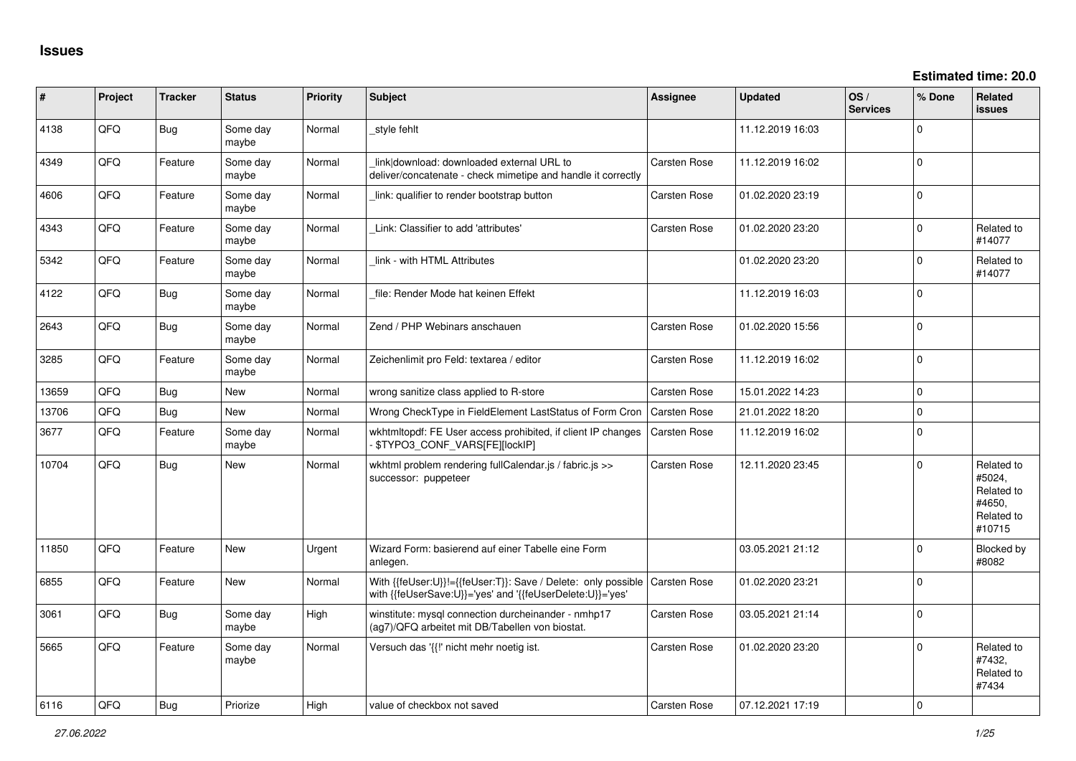| ∦     | Project | <b>Tracker</b> | <b>Status</b>     | Priority | <b>Subject</b>                                                                                                                            | <b>Assignee</b>     | <b>Updated</b>   | OS/<br><b>Services</b> | % Done         | Related<br><b>issues</b>                                             |
|-------|---------|----------------|-------------------|----------|-------------------------------------------------------------------------------------------------------------------------------------------|---------------------|------------------|------------------------|----------------|----------------------------------------------------------------------|
| 4138  | QFQ     | Bug            | Some day<br>maybe | Normal   | style fehlt                                                                                                                               |                     | 11.12.2019 16:03 |                        | $\Omega$       |                                                                      |
| 4349  | QFQ     | Feature        | Some day<br>maybe | Normal   | link download: downloaded external URL to<br>deliver/concatenate - check mimetipe and handle it correctly                                 | Carsten Rose        | 11.12.2019 16:02 |                        | $\Omega$       |                                                                      |
| 4606  | QFQ     | Feature        | Some day<br>maybe | Normal   | link: qualifier to render bootstrap button                                                                                                | Carsten Rose        | 01.02.2020 23:19 |                        | $\Omega$       |                                                                      |
| 4343  | QFQ     | Feature        | Some day<br>maybe | Normal   | Link: Classifier to add 'attributes'                                                                                                      | Carsten Rose        | 01.02.2020 23:20 |                        | $\Omega$       | Related to<br>#14077                                                 |
| 5342  | QFQ     | Feature        | Some day<br>maybe | Normal   | link - with HTML Attributes                                                                                                               |                     | 01.02.2020 23:20 |                        | $\Omega$       | Related to<br>#14077                                                 |
| 4122  | QFQ     | Bug            | Some day<br>maybe | Normal   | file: Render Mode hat keinen Effekt                                                                                                       |                     | 11.12.2019 16:03 |                        | $\overline{0}$ |                                                                      |
| 2643  | QFQ     | Bug            | Some day<br>maybe | Normal   | Zend / PHP Webinars anschauen                                                                                                             | Carsten Rose        | 01.02.2020 15:56 |                        | $\mathbf 0$    |                                                                      |
| 3285  | QFQ     | Feature        | Some day<br>maybe | Normal   | Zeichenlimit pro Feld: textarea / editor                                                                                                  | Carsten Rose        | 11.12.2019 16:02 |                        | $\Omega$       |                                                                      |
| 13659 | QFQ     | Bug            | <b>New</b>        | Normal   | wrong sanitize class applied to R-store                                                                                                   | Carsten Rose        | 15.01.2022 14:23 |                        | $\mathbf 0$    |                                                                      |
| 13706 | QFQ     | Bug            | New               | Normal   | Wrong CheckType in FieldElement LastStatus of Form Cron                                                                                   | Carsten Rose        | 21.01.2022 18:20 |                        | $\Omega$       |                                                                      |
| 3677  | QFQ     | Feature        | Some day<br>maybe | Normal   | wkhtmltopdf: FE User access prohibited, if client IP changes<br>\$TYPO3_CONF_VARS[FE][lockIP]                                             | <b>Carsten Rose</b> | 11.12.2019 16:02 |                        | $\overline{0}$ |                                                                      |
| 10704 | QFQ     | Bug            | New               | Normal   | wkhtml problem rendering fullCalendar.js / fabric.js >><br>successor: puppeteer                                                           | Carsten Rose        | 12.11.2020 23:45 |                        | $\Omega$       | Related to<br>#5024,<br>Related to<br>#4650,<br>Related to<br>#10715 |
| 11850 | QFQ     | Feature        | <b>New</b>        | Urgent   | Wizard Form: basierend auf einer Tabelle eine Form<br>anlegen.                                                                            |                     | 03.05.2021 21:12 |                        | $\Omega$       | <b>Blocked by</b><br>#8082                                           |
| 6855  | QFQ     | Feature        | <b>New</b>        | Normal   | With {{feUser:U}}!={{feUser:T}}: Save / Delete: only possible   Carsten Rose<br>with {{feUserSave:U}}='yes' and '{{feUserDelete:U}}='yes' |                     | 01.02.2020 23:21 |                        | $\overline{0}$ |                                                                      |
| 3061  | QFQ     | Bug            | Some day<br>maybe | High     | winstitute: mysql connection durcheinander - nmhp17<br>(ag7)/QFQ arbeitet mit DB/Tabellen von biostat.                                    | Carsten Rose        | 03.05.2021 21:14 |                        | $\Omega$       |                                                                      |
| 5665  | QFQ     | Feature        | Some day<br>maybe | Normal   | Versuch das '{{!' nicht mehr noetig ist.                                                                                                  | Carsten Rose        | 01.02.2020 23:20 |                        | $\Omega$       | Related to<br>#7432,<br>Related to<br>#7434                          |
| 6116  | OFO     | Bug            | Priorize          | Hiah     | value of checkbox not saved                                                                                                               | <b>Carsten Rose</b> | 07.12.2021 17:19 |                        | $\Omega$       |                                                                      |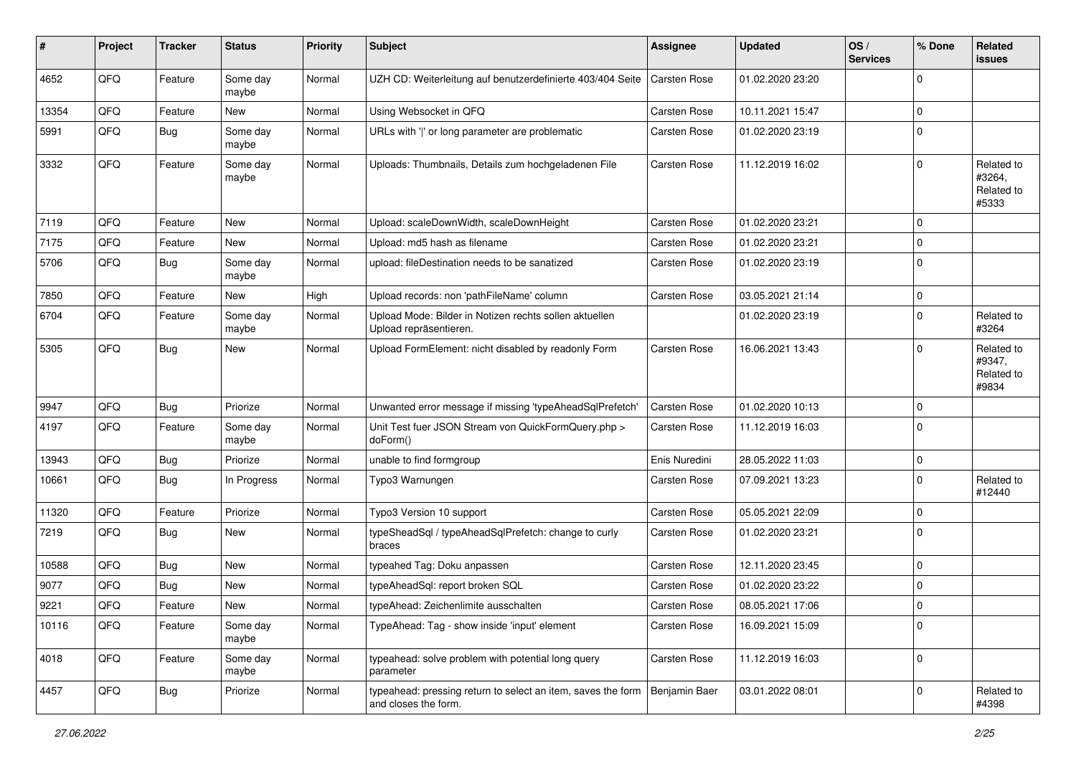| #     | Project | <b>Tracker</b> | <b>Status</b>     | <b>Priority</b> | <b>Subject</b>                                                                       | <b>Assignee</b>     | <b>Updated</b>   | OS/<br><b>Services</b> | % Done         | Related<br>issues                           |
|-------|---------|----------------|-------------------|-----------------|--------------------------------------------------------------------------------------|---------------------|------------------|------------------------|----------------|---------------------------------------------|
| 4652  | QFQ     | Feature        | Some day<br>maybe | Normal          | UZH CD: Weiterleitung auf benutzerdefinierte 403/404 Seite                           | Carsten Rose        | 01.02.2020 23:20 |                        | $\mathbf 0$    |                                             |
| 13354 | QFQ     | Feature        | New               | Normal          | Using Websocket in QFQ                                                               | <b>Carsten Rose</b> | 10.11.2021 15:47 |                        | $\mathbf 0$    |                                             |
| 5991  | QFQ     | Bug            | Some day<br>maybe | Normal          | URLs with ' ' or long parameter are problematic                                      | Carsten Rose        | 01.02.2020 23:19 |                        | $\mathbf 0$    |                                             |
| 3332  | QFQ     | Feature        | Some day<br>maybe | Normal          | Uploads: Thumbnails, Details zum hochgeladenen File                                  | Carsten Rose        | 11.12.2019 16:02 |                        | $\mathbf 0$    | Related to<br>#3264,<br>Related to<br>#5333 |
| 7119  | QFQ     | Feature        | New               | Normal          | Upload: scaleDownWidth, scaleDownHeight                                              | <b>Carsten Rose</b> | 01.02.2020 23:21 |                        | 0              |                                             |
| 7175  | QFQ     | Feature        | New               | Normal          | Upload: md5 hash as filename                                                         | Carsten Rose        | 01.02.2020 23:21 |                        | $\mathbf 0$    |                                             |
| 5706  | QFQ     | Bug            | Some day<br>maybe | Normal          | upload: fileDestination needs to be sanatized                                        | Carsten Rose        | 01.02.2020 23:19 |                        | $\Omega$       |                                             |
| 7850  | QFQ     | Feature        | New               | High            | Upload records: non 'pathFileName' column                                            | <b>Carsten Rose</b> | 03.05.2021 21:14 |                        | $\overline{0}$ |                                             |
| 6704  | QFQ     | Feature        | Some day<br>maybe | Normal          | Upload Mode: Bilder in Notizen rechts sollen aktuellen<br>Upload repräsentieren.     |                     | 01.02.2020 23:19 |                        | $\mathbf 0$    | Related to<br>#3264                         |
| 5305  | QFQ     | Bug            | <b>New</b>        | Normal          | Upload FormElement: nicht disabled by readonly Form                                  | <b>Carsten Rose</b> | 16.06.2021 13:43 |                        | $\mathbf 0$    | Related to<br>#9347,<br>Related to<br>#9834 |
| 9947  | QFQ     | Bug            | Priorize          | Normal          | Unwanted error message if missing 'typeAheadSqlPrefetch'                             | <b>Carsten Rose</b> | 01.02.2020 10:13 |                        | 0              |                                             |
| 4197  | QFQ     | Feature        | Some day<br>maybe | Normal          | Unit Test fuer JSON Stream von QuickFormQuery.php ><br>doForm()                      | Carsten Rose        | 11.12.2019 16:03 |                        | $\Omega$       |                                             |
| 13943 | QFQ     | Bug            | Priorize          | Normal          | unable to find formgroup                                                             | Enis Nuredini       | 28.05.2022 11:03 |                        | 0              |                                             |
| 10661 | QFQ     | Bug            | In Progress       | Normal          | Typo3 Warnungen                                                                      | Carsten Rose        | 07.09.2021 13:23 |                        | $\Omega$       | Related to<br>#12440                        |
| 11320 | QFQ     | Feature        | Priorize          | Normal          | Typo3 Version 10 support                                                             | Carsten Rose        | 05.05.2021 22:09 |                        | $\Omega$       |                                             |
| 7219  | QFQ     | Bug            | <b>New</b>        | Normal          | typeSheadSql / typeAheadSqlPrefetch: change to curly<br>braces                       | Carsten Rose        | 01.02.2020 23:21 |                        | $\Omega$       |                                             |
| 10588 | QFQ     | Bug            | <b>New</b>        | Normal          | typeahed Tag: Doku anpassen                                                          | Carsten Rose        | 12.11.2020 23:45 |                        | $\mathbf 0$    |                                             |
| 9077  | QFQ     | Bug            | New               | Normal          | typeAheadSql: report broken SQL                                                      | <b>Carsten Rose</b> | 01.02.2020 23:22 |                        | 0              |                                             |
| 9221  | QFQ     | Feature        | New               | Normal          | typeAhead: Zeichenlimite ausschalten                                                 | Carsten Rose        | 08.05.2021 17:06 |                        | $\mathbf 0$    |                                             |
| 10116 | QFQ     | Feature        | Some day<br>maybe | Normal          | TypeAhead: Tag - show inside 'input' element                                         | Carsten Rose        | 16.09.2021 15:09 |                        | 0              |                                             |
| 4018  | QFQ     | Feature        | Some day<br>maybe | Normal          | typeahead: solve problem with potential long query<br>parameter                      | Carsten Rose        | 11.12.2019 16:03 |                        | 0              |                                             |
| 4457  | QFG     | <b>Bug</b>     | Priorize          | Normal          | typeahead: pressing return to select an item, saves the form<br>and closes the form. | Benjamin Baer       | 03.01.2022 08:01 |                        | 0              | Related to<br>#4398                         |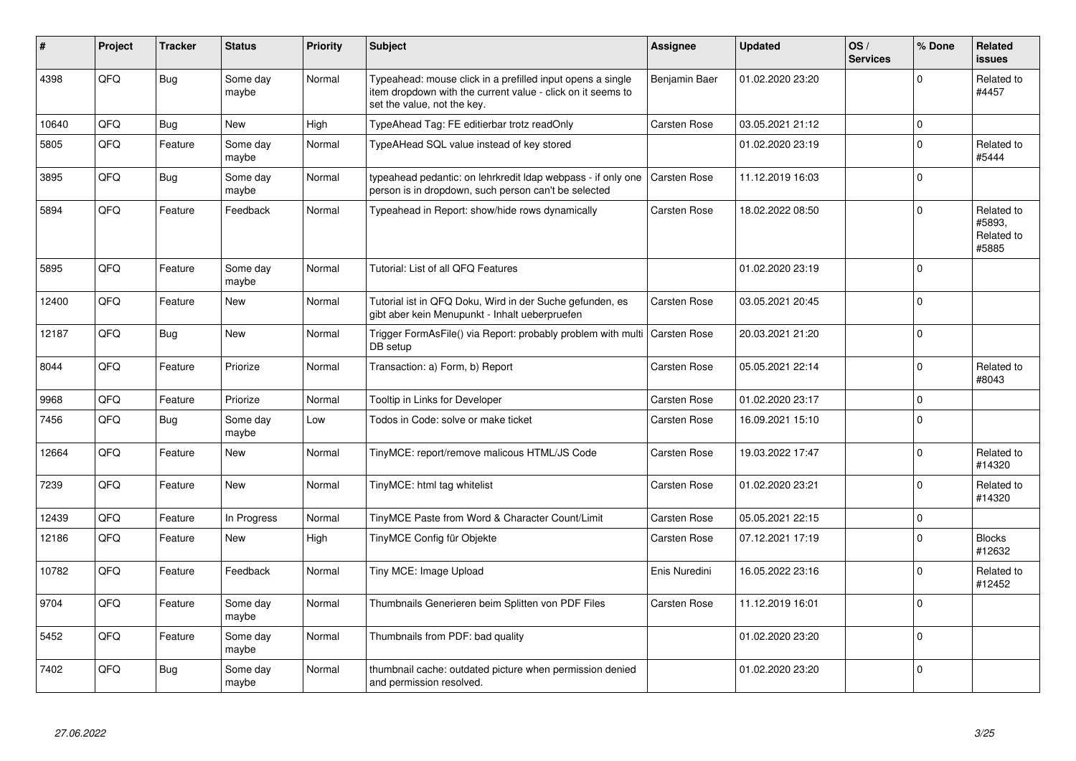| #     | Project | <b>Tracker</b> | <b>Status</b>     | <b>Priority</b> | <b>Subject</b>                                                                                                                                           | <b>Assignee</b>     | Updated          | OS/<br><b>Services</b> | % Done         | Related<br><b>issues</b>                    |
|-------|---------|----------------|-------------------|-----------------|----------------------------------------------------------------------------------------------------------------------------------------------------------|---------------------|------------------|------------------------|----------------|---------------------------------------------|
| 4398  | QFQ     | <b>Bug</b>     | Some day<br>maybe | Normal          | Typeahead: mouse click in a prefilled input opens a single<br>item dropdown with the current value - click on it seems to<br>set the value, not the key. | Benjamin Baer       | 01.02.2020 23:20 |                        | $\Omega$       | Related to<br>#4457                         |
| 10640 | QFQ     | <b>Bug</b>     | New               | High            | TypeAhead Tag: FE editierbar trotz readOnly                                                                                                              | <b>Carsten Rose</b> | 03.05.2021 21:12 |                        | $\mathbf 0$    |                                             |
| 5805  | QFQ     | Feature        | Some day<br>maybe | Normal          | TypeAHead SQL value instead of key stored                                                                                                                |                     | 01.02.2020 23:19 |                        | $\mathbf 0$    | Related to<br>#5444                         |
| 3895  | QFQ     | <b>Bug</b>     | Some day<br>maybe | Normal          | typeahead pedantic: on lehrkredit Idap webpass - if only one<br>person is in dropdown, such person can't be selected                                     | Carsten Rose        | 11.12.2019 16:03 |                        | $\Omega$       |                                             |
| 5894  | QFQ     | Feature        | Feedback          | Normal          | Typeahead in Report: show/hide rows dynamically                                                                                                          | Carsten Rose        | 18.02.2022 08:50 |                        | $\Omega$       | Related to<br>#5893,<br>Related to<br>#5885 |
| 5895  | QFQ     | Feature        | Some day<br>maybe | Normal          | Tutorial: List of all QFQ Features                                                                                                                       |                     | 01.02.2020 23:19 |                        | 0              |                                             |
| 12400 | QFQ     | Feature        | New               | Normal          | Tutorial ist in QFQ Doku, Wird in der Suche gefunden, es<br>gibt aber kein Menupunkt - Inhalt ueberpruefen                                               | Carsten Rose        | 03.05.2021 20:45 |                        | 0              |                                             |
| 12187 | QFQ     | Bug            | New               | Normal          | Trigger FormAsFile() via Report: probably problem with multi   Carsten Rose<br>DB setup                                                                  |                     | 20.03.2021 21:20 |                        | $\overline{0}$ |                                             |
| 8044  | QFQ     | Feature        | Priorize          | Normal          | Transaction: a) Form, b) Report                                                                                                                          | Carsten Rose        | 05.05.2021 22:14 |                        | $\Omega$       | Related to<br>#8043                         |
| 9968  | QFQ     | Feature        | Priorize          | Normal          | Tooltip in Links for Developer                                                                                                                           | Carsten Rose        | 01.02.2020 23:17 |                        | $\mathbf 0$    |                                             |
| 7456  | QFQ     | Bug            | Some day<br>maybe | Low             | Todos in Code: solve or make ticket                                                                                                                      | Carsten Rose        | 16.09.2021 15:10 |                        | $\overline{0}$ |                                             |
| 12664 | QFQ     | Feature        | <b>New</b>        | Normal          | TinyMCE: report/remove malicous HTML/JS Code                                                                                                             | Carsten Rose        | 19.03.2022 17:47 |                        | $\Omega$       | Related to<br>#14320                        |
| 7239  | QFQ     | Feature        | New               | Normal          | TinyMCE: html tag whitelist                                                                                                                              | Carsten Rose        | 01.02.2020 23:21 |                        | $\Omega$       | Related to<br>#14320                        |
| 12439 | QFQ     | Feature        | In Progress       | Normal          | TinyMCE Paste from Word & Character Count/Limit                                                                                                          | Carsten Rose        | 05.05.2021 22:15 |                        | 0              |                                             |
| 12186 | QFQ     | Feature        | New               | High            | TinyMCE Config für Objekte                                                                                                                               | Carsten Rose        | 07.12.2021 17:19 |                        | $\Omega$       | <b>Blocks</b><br>#12632                     |
| 10782 | QFQ     | Feature        | Feedback          | Normal          | Tiny MCE: Image Upload                                                                                                                                   | Enis Nuredini       | 16.05.2022 23:16 |                        | $\Omega$       | Related to<br>#12452                        |
| 9704  | QFQ     | Feature        | Some day<br>maybe | Normal          | Thumbnails Generieren beim Splitten von PDF Files                                                                                                        | Carsten Rose        | 11.12.2019 16:01 |                        | 0              |                                             |
| 5452  | QFQ     | Feature        | Some day<br>maybe | Normal          | Thumbnails from PDF: bad quality                                                                                                                         |                     | 01.02.2020 23:20 |                        | $\Omega$       |                                             |
| 7402  | QFQ     | Bug            | Some day<br>maybe | Normal          | thumbnail cache: outdated picture when permission denied<br>and permission resolved.                                                                     |                     | 01.02.2020 23:20 |                        | $\Omega$       |                                             |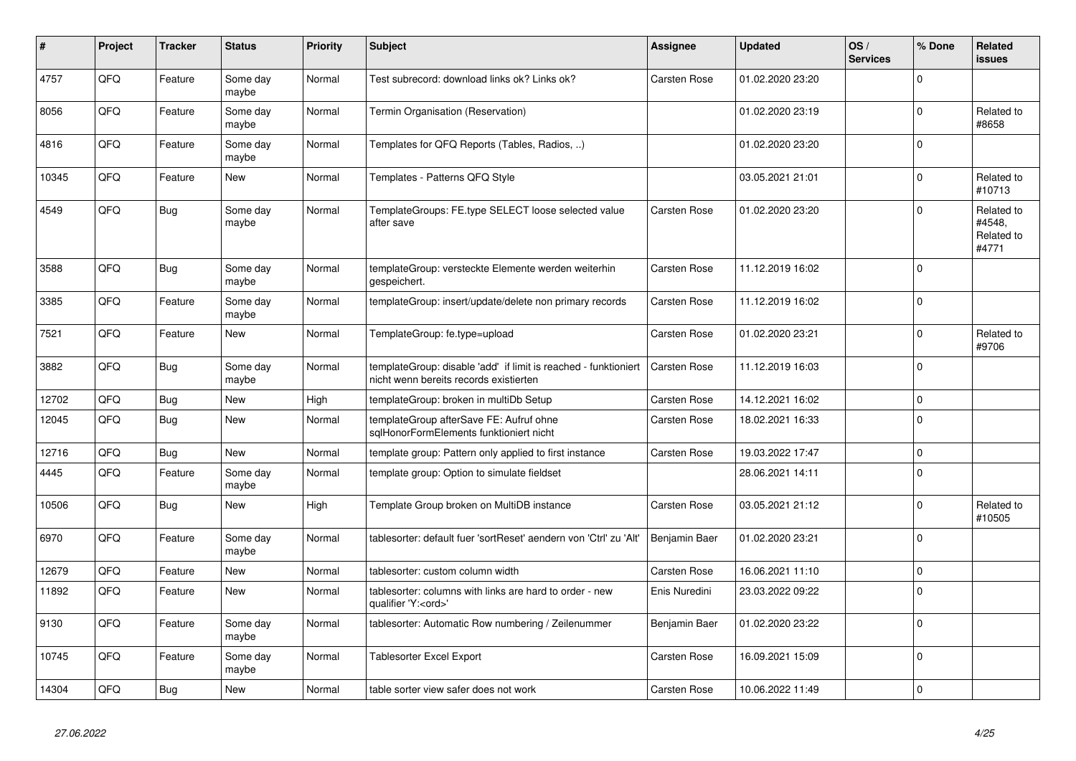| #     | Project | <b>Tracker</b> | <b>Status</b>     | <b>Priority</b> | <b>Subject</b>                                                                                            | Assignee            | <b>Updated</b>   | OS/<br><b>Services</b> | % Done      | Related<br>issues                           |
|-------|---------|----------------|-------------------|-----------------|-----------------------------------------------------------------------------------------------------------|---------------------|------------------|------------------------|-------------|---------------------------------------------|
| 4757  | QFQ     | Feature        | Some day<br>maybe | Normal          | Test subrecord: download links ok? Links ok?                                                              | <b>Carsten Rose</b> | 01.02.2020 23:20 |                        | $\Omega$    |                                             |
| 8056  | QFQ     | Feature        | Some day<br>maybe | Normal          | Termin Organisation (Reservation)                                                                         |                     | 01.02.2020 23:19 |                        | $\Omega$    | Related to<br>#8658                         |
| 4816  | QFQ     | Feature        | Some day<br>maybe | Normal          | Templates for QFQ Reports (Tables, Radios, )                                                              |                     | 01.02.2020 23:20 |                        | $\Omega$    |                                             |
| 10345 | QFQ     | Feature        | New               | Normal          | Templates - Patterns QFQ Style                                                                            |                     | 03.05.2021 21:01 |                        | $\Omega$    | Related to<br>#10713                        |
| 4549  | QFQ     | <b>Bug</b>     | Some day<br>maybe | Normal          | TemplateGroups: FE.type SELECT loose selected value<br>after save                                         | <b>Carsten Rose</b> | 01.02.2020 23:20 |                        | $\Omega$    | Related to<br>#4548,<br>Related to<br>#4771 |
| 3588  | QFQ     | Bug            | Some day<br>maybe | Normal          | templateGroup: versteckte Elemente werden weiterhin<br>gespeichert.                                       | Carsten Rose        | 11.12.2019 16:02 |                        | $\Omega$    |                                             |
| 3385  | QFQ     | Feature        | Some day<br>maybe | Normal          | templateGroup: insert/update/delete non primary records                                                   | Carsten Rose        | 11.12.2019 16:02 |                        | $\Omega$    |                                             |
| 7521  | QFQ     | Feature        | New               | Normal          | TemplateGroup: fe.type=upload                                                                             | Carsten Rose        | 01.02.2020 23:21 |                        | $\mathbf 0$ | Related to<br>#9706                         |
| 3882  | QFQ     | Bug            | Some day<br>maybe | Normal          | templateGroup: disable 'add' if limit is reached - funktioniert<br>nicht wenn bereits records existierten | <b>Carsten Rose</b> | 11.12.2019 16:03 |                        | $\Omega$    |                                             |
| 12702 | QFQ     | <b>Bug</b>     | <b>New</b>        | High            | templateGroup: broken in multiDb Setup                                                                    | Carsten Rose        | 14.12.2021 16:02 |                        | $\Omega$    |                                             |
| 12045 | QFQ     | Bug            | <b>New</b>        | Normal          | templateGroup afterSave FE: Aufruf ohne<br>sglHonorFormElements funktioniert nicht                        | Carsten Rose        | 18.02.2021 16:33 |                        | $\Omega$    |                                             |
| 12716 | QFQ     | Bug            | <b>New</b>        | Normal          | template group: Pattern only applied to first instance                                                    | <b>Carsten Rose</b> | 19.03.2022 17:47 |                        | $\Omega$    |                                             |
| 4445  | QFQ     | Feature        | Some day<br>maybe | Normal          | template group: Option to simulate fieldset                                                               |                     | 28.06.2021 14:11 |                        | $\Omega$    |                                             |
| 10506 | QFQ     | Bug            | <b>New</b>        | High            | Template Group broken on MultiDB instance                                                                 | Carsten Rose        | 03.05.2021 21:12 |                        | $\Omega$    | Related to<br>#10505                        |
| 6970  | QFQ     | Feature        | Some day<br>maybe | Normal          | tablesorter: default fuer 'sortReset' aendern von 'Ctrl' zu 'Alt'                                         | Benjamin Baer       | 01.02.2020 23:21 |                        | $\Omega$    |                                             |
| 12679 | QFQ     | Feature        | <b>New</b>        | Normal          | tablesorter: custom column width                                                                          | <b>Carsten Rose</b> | 16.06.2021 11:10 |                        | $\mathbf 0$ |                                             |
| 11892 | QFQ     | Feature        | New               | Normal          | tablesorter: columns with links are hard to order - new<br>qualifier 'Y: <ord>'</ord>                     | Enis Nuredini       | 23.03.2022 09:22 |                        | $\mathbf 0$ |                                             |
| 9130  | QFQ     | Feature        | Some day<br>maybe | Normal          | tablesorter: Automatic Row numbering / Zeilenummer                                                        | Benjamin Baer       | 01.02.2020 23:22 |                        | $\Omega$    |                                             |
| 10745 | QFQ     | Feature        | Some day<br>maybe | Normal          | Tablesorter Excel Export                                                                                  | Carsten Rose        | 16.09.2021 15:09 |                        | $\Omega$    |                                             |
| 14304 | QFQ     | Bug            | New               | Normal          | table sorter view safer does not work                                                                     | <b>Carsten Rose</b> | 10.06.2022 11:49 |                        | 0 l         |                                             |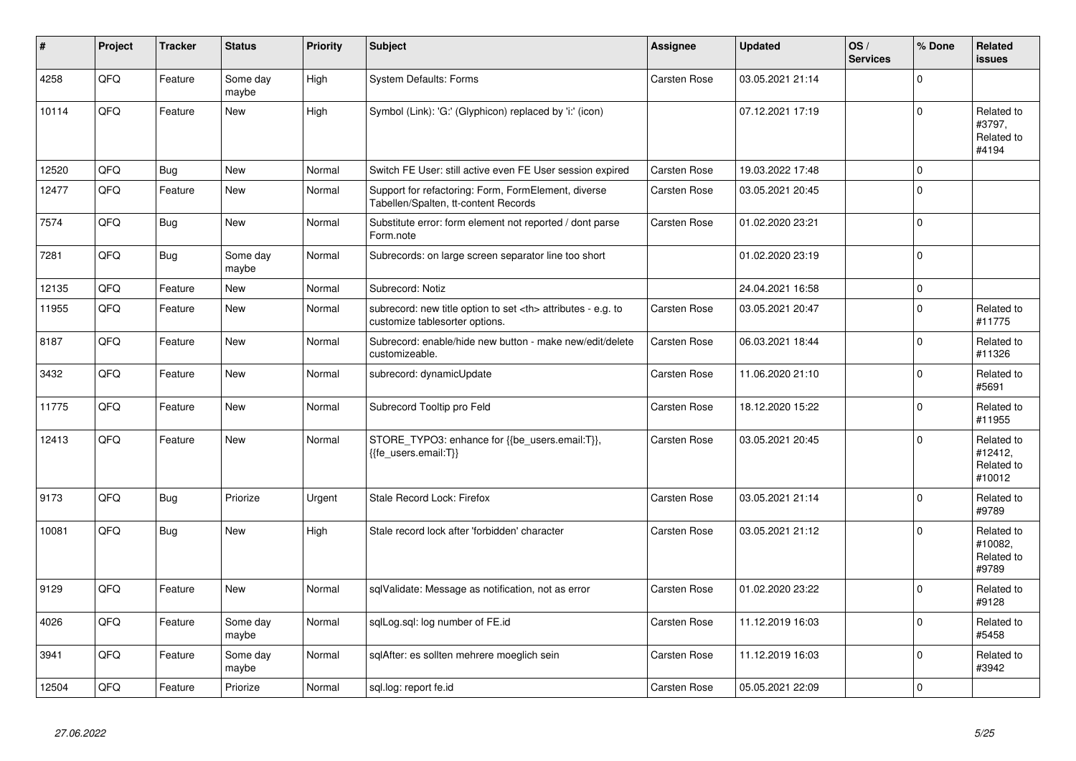| #     | Project | <b>Tracker</b> | <b>Status</b>     | <b>Priority</b> | <b>Subject</b>                                                                                       | Assignee                                               | <b>Updated</b>   | OS/<br><b>Services</b> | % Done         | Related<br><b>issues</b>                      |                      |
|-------|---------|----------------|-------------------|-----------------|------------------------------------------------------------------------------------------------------|--------------------------------------------------------|------------------|------------------------|----------------|-----------------------------------------------|----------------------|
| 4258  | QFQ     | Feature        | Some day<br>maybe | High            | <b>System Defaults: Forms</b>                                                                        | Carsten Rose                                           | 03.05.2021 21:14 |                        | $\overline{0}$ |                                               |                      |
| 10114 | QFQ     | Feature        | <b>New</b>        | High            | Symbol (Link): 'G:' (Glyphicon) replaced by 'i:' (icon)                                              |                                                        | 07.12.2021 17:19 |                        | $\overline{0}$ | Related to<br>#3797,<br>Related to<br>#4194   |                      |
| 12520 | QFQ     | Bug            | New               | Normal          | Switch FE User: still active even FE User session expired                                            | Carsten Rose                                           | 19.03.2022 17:48 |                        | 0              |                                               |                      |
| 12477 | QFQ     | Feature        | <b>New</b>        | Normal          | Support for refactoring: Form, FormElement, diverse<br>Tabellen/Spalten, tt-content Records          | Carsten Rose                                           | 03.05.2021 20:45 |                        | 0              |                                               |                      |
| 7574  | QFQ     | <b>Bug</b>     | <b>New</b>        | Normal          | Substitute error: form element not reported / dont parse<br>Form.note                                | Carsten Rose                                           | 01.02.2020 23:21 |                        | $\overline{0}$ |                                               |                      |
| 7281  | QFQ     | <b>Bug</b>     | Some day<br>maybe | Normal          | Subrecords: on large screen separator line too short                                                 |                                                        | 01.02.2020 23:19 |                        | $\overline{0}$ |                                               |                      |
| 12135 | QFQ     | Feature        | <b>New</b>        | Normal          | Subrecord: Notiz                                                                                     |                                                        | 24.04.2021 16:58 |                        | $\overline{0}$ |                                               |                      |
| 11955 | QFQ     | Feature        | <b>New</b>        | Normal          | subrecord: new title option to set <th> attributes - e.g. to<br/>customize tablesorter options.</th> | attributes - e.g. to<br>customize tablesorter options. | Carsten Rose     | 03.05.2021 20:47       |                | $\overline{0}$                                | Related to<br>#11775 |
| 8187  | QFQ     | Feature        | New               | Normal          | Subrecord: enable/hide new button - make new/edit/delete<br>customizeable.                           | Carsten Rose                                           | 06.03.2021 18:44 |                        | $\Omega$       | Related to<br>#11326                          |                      |
| 3432  | QFQ     | Feature        | New               | Normal          | subrecord: dynamicUpdate                                                                             | Carsten Rose                                           | 11.06.2020 21:10 |                        | 0              | Related to<br>#5691                           |                      |
| 11775 | QFQ     | Feature        | New               | Normal          | Subrecord Tooltip pro Feld                                                                           | Carsten Rose                                           | 18.12.2020 15:22 |                        | $\overline{0}$ | Related to<br>#11955                          |                      |
| 12413 | QFQ     | Feature        | <b>New</b>        | Normal          | STORE_TYPO3: enhance for {{be_users.email:T}},<br>{{fe users.email:T}}                               | <b>Carsten Rose</b>                                    | 03.05.2021 20:45 |                        | $\Omega$       | Related to<br>#12412,<br>Related to<br>#10012 |                      |
| 9173  | QFQ     | <b>Bug</b>     | Priorize          | Urgent          | Stale Record Lock: Firefox                                                                           | Carsten Rose                                           | 03.05.2021 21:14 |                        | $\overline{0}$ | Related to<br>#9789                           |                      |
| 10081 | QFQ     | Bug            | New               | High            | Stale record lock after 'forbidden' character                                                        | <b>Carsten Rose</b>                                    | 03.05.2021 21:12 |                        | $\mathbf 0$    | Related to<br>#10082.<br>Related to<br>#9789  |                      |
| 9129  | QFQ     | Feature        | <b>New</b>        | Normal          | sqlValidate: Message as notification, not as error                                                   | <b>Carsten Rose</b>                                    | 01.02.2020 23:22 |                        | $\overline{0}$ | Related to<br>#9128                           |                      |
| 4026  | QFQ     | Feature        | Some day<br>maybe | Normal          | sqlLog.sql: log number of FE.id                                                                      | Carsten Rose                                           | 11.12.2019 16:03 |                        | 0              | Related to<br>#5458                           |                      |
| 3941  | QFQ     | Feature        | Some day<br>maybe | Normal          | sqlAfter: es sollten mehrere moeglich sein                                                           | <b>Carsten Rose</b>                                    | 11.12.2019 16:03 |                        | $\overline{0}$ | Related to<br>#3942                           |                      |
| 12504 | QFQ     | Feature        | Priorize          | Normal          | sql.log: report fe.id                                                                                | <b>Carsten Rose</b>                                    | 05.05.2021 22:09 |                        | $\overline{0}$ |                                               |                      |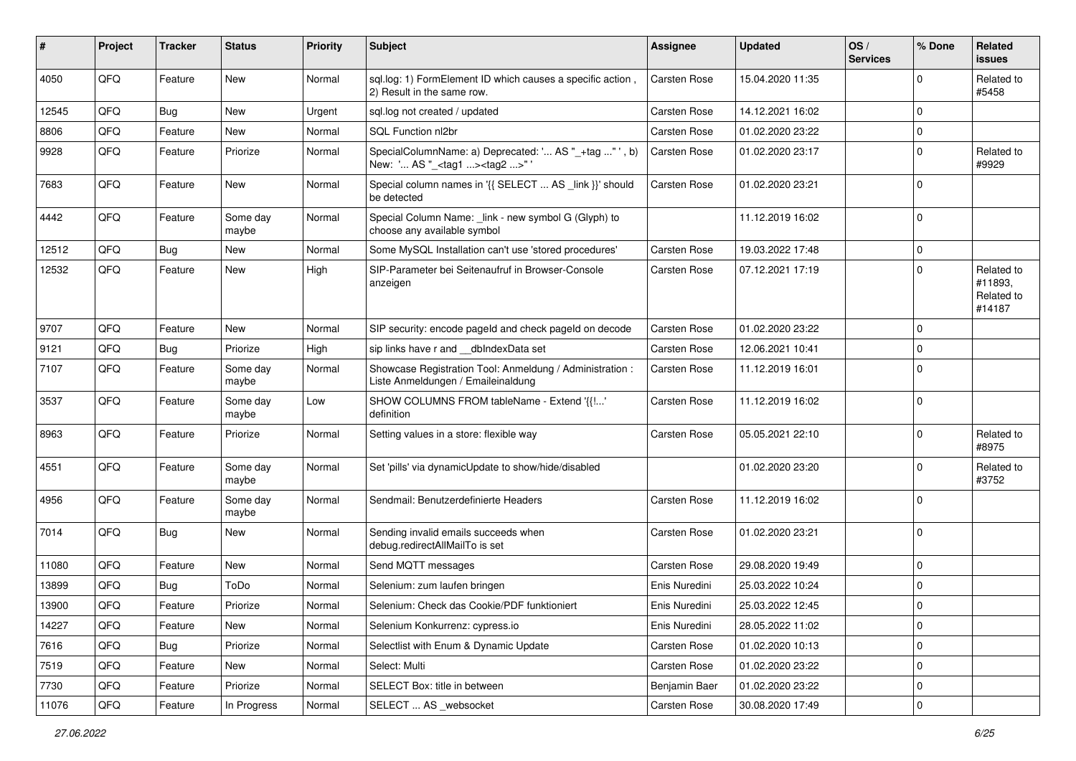| ∦     | Project | <b>Tracker</b> | <b>Status</b>     | <b>Priority</b> | <b>Subject</b>                                                                                    | <b>Assignee</b>     | <b>Updated</b>   | OS/<br><b>Services</b> | % Done      | Related<br><b>issues</b>                      |
|-------|---------|----------------|-------------------|-----------------|---------------------------------------------------------------------------------------------------|---------------------|------------------|------------------------|-------------|-----------------------------------------------|
| 4050  | QFQ     | Feature        | New               | Normal          | sql.log: 1) FormElement ID which causes a specific action,<br>2) Result in the same row.          | <b>Carsten Rose</b> | 15.04.2020 11:35 |                        | $\Omega$    | Related to<br>#5458                           |
| 12545 | QFQ     | Bug            | <b>New</b>        | Urgent          | sql.log not created / updated                                                                     | <b>Carsten Rose</b> | 14.12.2021 16:02 |                        | $\Omega$    |                                               |
| 8806  | QFQ     | Feature        | New               | Normal          | SQL Function nl2br                                                                                | <b>Carsten Rose</b> | 01.02.2020 23:22 |                        | $\mathbf 0$ |                                               |
| 9928  | QFQ     | Feature        | Priorize          | Normal          | SpecialColumnName: a) Deprecated: ' AS "_+tag " ', b)<br>New: ' AS "_ <tag1><tag2>"</tag2></tag1> | Carsten Rose        | 01.02.2020 23:17 |                        | $\Omega$    | Related to<br>#9929                           |
| 7683  | QFQ     | Feature        | New               | Normal          | Special column names in '{{ SELECT  AS _link }}' should<br>be detected                            | Carsten Rose        | 01.02.2020 23:21 |                        | $\Omega$    |                                               |
| 4442  | QFQ     | Feature        | Some day<br>maybe | Normal          | Special Column Name: _link - new symbol G (Glyph) to<br>choose any available symbol               |                     | 11.12.2019 16:02 |                        | 0           |                                               |
| 12512 | QFQ     | Bug            | New               | Normal          | Some MySQL Installation can't use 'stored procedures'                                             | <b>Carsten Rose</b> | 19.03.2022 17:48 |                        | $\mathbf 0$ |                                               |
| 12532 | QFQ     | Feature        | New               | High            | SIP-Parameter bei Seitenaufruf in Browser-Console<br>anzeigen                                     | Carsten Rose        | 07.12.2021 17:19 |                        | $\Omega$    | Related to<br>#11893,<br>Related to<br>#14187 |
| 9707  | QFQ     | Feature        | <b>New</b>        | Normal          | SIP security: encode pageld and check pageld on decode                                            | <b>Carsten Rose</b> | 01.02.2020 23:22 |                        | $\mathbf 0$ |                                               |
| 9121  | QFQ     | Bug            | Priorize          | High            | sip links have r and __dbIndexData set                                                            | Carsten Rose        | 12.06.2021 10:41 |                        | $\mathbf 0$ |                                               |
| 7107  | QFQ     | Feature        | Some day<br>maybe | Normal          | Showcase Registration Tool: Anmeldung / Administration :<br>Liste Anmeldungen / Emaileinaldung    | Carsten Rose        | 11.12.2019 16:01 |                        | $\mathbf 0$ |                                               |
| 3537  | QFQ     | Feature        | Some day<br>maybe | Low             | SHOW COLUMNS FROM tableName - Extend '{{!'<br>definition                                          | <b>Carsten Rose</b> | 11.12.2019 16:02 |                        | 0           |                                               |
| 8963  | QFQ     | Feature        | Priorize          | Normal          | Setting values in a store: flexible way                                                           | Carsten Rose        | 05.05.2021 22:10 |                        | $\Omega$    | Related to<br>#8975                           |
| 4551  | QFQ     | Feature        | Some day<br>maybe | Normal          | Set 'pills' via dynamicUpdate to show/hide/disabled                                               |                     | 01.02.2020 23:20 |                        | $\Omega$    | Related to<br>#3752                           |
| 4956  | QFQ     | Feature        | Some day<br>maybe | Normal          | Sendmail: Benutzerdefinierte Headers                                                              | Carsten Rose        | 11.12.2019 16:02 |                        | $\Omega$    |                                               |
| 7014  | QFQ     | Bug            | New               | Normal          | Sending invalid emails succeeds when<br>debug.redirectAllMailTo is set                            | Carsten Rose        | 01.02.2020 23:21 |                        | $\Omega$    |                                               |
| 11080 | QFQ     | Feature        | New               | Normal          | Send MQTT messages                                                                                | Carsten Rose        | 29.08.2020 19:49 |                        | $\Omega$    |                                               |
| 13899 | QFQ     | Bug            | ToDo              | Normal          | Selenium: zum laufen bringen                                                                      | Enis Nuredini       | 25.03.2022 10:24 |                        | $\Omega$    |                                               |
| 13900 | QFG     | Feature        | Priorize          | Normal          | Selenium: Check das Cookie/PDF funktioniert                                                       | Enis Nuredini       | 25.03.2022 12:45 |                        | $\mathbf 0$ |                                               |
| 14227 | QFQ     | Feature        | New               | Normal          | Selenium Konkurrenz: cypress.io                                                                   | Enis Nuredini       | 28.05.2022 11:02 |                        | $\mathbf 0$ |                                               |
| 7616  | QFQ     | Bug            | Priorize          | Normal          | Selectlist with Enum & Dynamic Update                                                             | Carsten Rose        | 01.02.2020 10:13 |                        | 0           |                                               |
| 7519  | QFQ     | Feature        | New               | Normal          | Select: Multi                                                                                     | Carsten Rose        | 01.02.2020 23:22 |                        | 0           |                                               |
| 7730  | QFQ     | Feature        | Priorize          | Normal          | SELECT Box: title in between                                                                      | Benjamin Baer       | 01.02.2020 23:22 |                        | 0           |                                               |
| 11076 | QFQ     | Feature        | In Progress       | Normal          | SELECT  AS _websocket                                                                             | Carsten Rose        | 30.08.2020 17:49 |                        | 0           |                                               |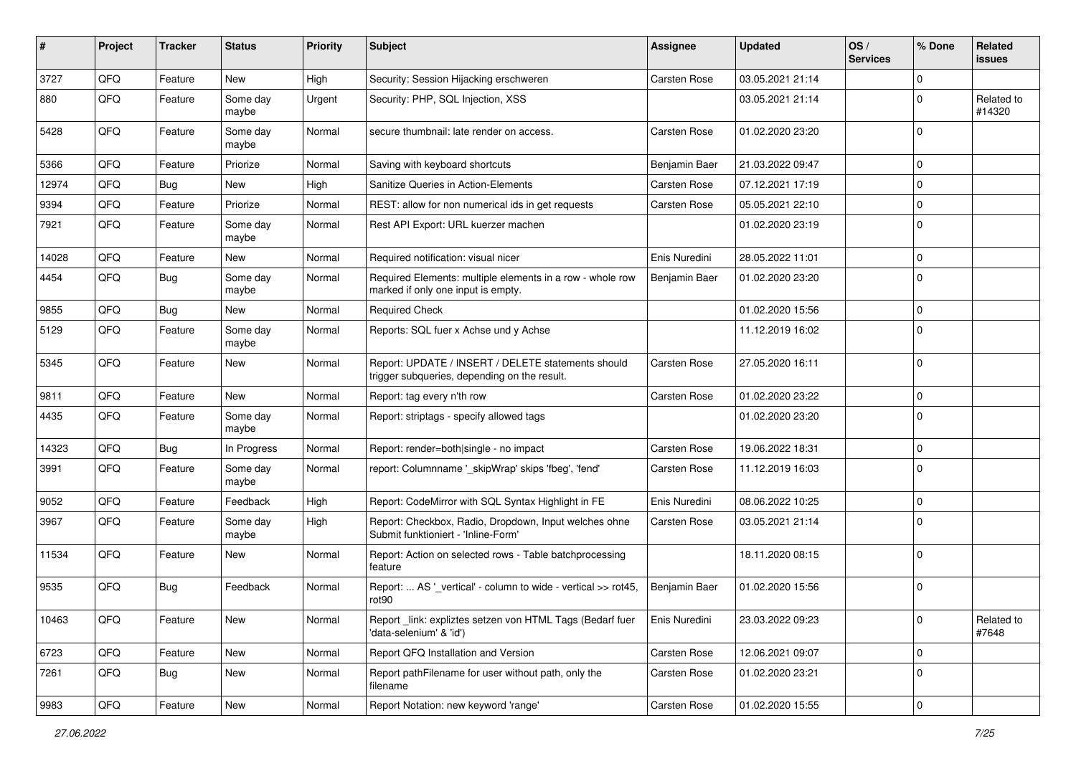| #     | Project | <b>Tracker</b> | <b>Status</b>     | <b>Priority</b> | Subject                                                                                            | <b>Assignee</b> | <b>Updated</b>   | OS/<br><b>Services</b> | % Done      | Related<br>issues    |
|-------|---------|----------------|-------------------|-----------------|----------------------------------------------------------------------------------------------------|-----------------|------------------|------------------------|-------------|----------------------|
| 3727  | QFQ     | Feature        | <b>New</b>        | High            | Security: Session Hijacking erschweren                                                             | Carsten Rose    | 03.05.2021 21:14 |                        | $\Omega$    |                      |
| 880   | QFQ     | Feature        | Some day<br>maybe | Urgent          | Security: PHP, SQL Injection, XSS                                                                  |                 | 03.05.2021 21:14 |                        | $\Omega$    | Related to<br>#14320 |
| 5428  | QFQ     | Feature        | Some day<br>maybe | Normal          | secure thumbnail: late render on access.                                                           | Carsten Rose    | 01.02.2020 23:20 |                        | $\Omega$    |                      |
| 5366  | QFQ     | Feature        | Priorize          | Normal          | Saving with keyboard shortcuts                                                                     | Benjamin Baer   | 21.03.2022 09:47 |                        | $\Omega$    |                      |
| 12974 | QFQ     | Bug            | New               | High            | Sanitize Queries in Action-Elements                                                                | Carsten Rose    | 07.12.2021 17:19 |                        | $\mathbf 0$ |                      |
| 9394  | QFQ     | Feature        | Priorize          | Normal          | REST: allow for non numerical ids in get requests                                                  | Carsten Rose    | 05.05.2021 22:10 |                        | $\Omega$    |                      |
| 7921  | QFQ     | Feature        | Some day<br>maybe | Normal          | Rest API Export: URL kuerzer machen                                                                |                 | 01.02.2020 23:19 |                        | 0           |                      |
| 14028 | QFQ     | Feature        | New               | Normal          | Required notification: visual nicer                                                                | Enis Nuredini   | 28.05.2022 11:01 |                        | $\mathbf 0$ |                      |
| 4454  | QFQ     | Bug            | Some day<br>maybe | Normal          | Required Elements: multiple elements in a row - whole row<br>marked if only one input is empty.    | Benjamin Baer   | 01.02.2020 23:20 |                        | $\Omega$    |                      |
| 9855  | QFQ     | Bug            | <b>New</b>        | Normal          | <b>Required Check</b>                                                                              |                 | 01.02.2020 15:56 |                        | $\Omega$    |                      |
| 5129  | QFQ     | Feature        | Some day<br>maybe | Normal          | Reports: SQL fuer x Achse und y Achse                                                              |                 | 11.12.2019 16:02 |                        | $\Omega$    |                      |
| 5345  | QFQ     | Feature        | <b>New</b>        | Normal          | Report: UPDATE / INSERT / DELETE statements should<br>trigger subqueries, depending on the result. | Carsten Rose    | 27.05.2020 16:11 |                        | $\Omega$    |                      |
| 9811  | QFQ     | Feature        | <b>New</b>        | Normal          | Report: tag every n'th row                                                                         | Carsten Rose    | 01.02.2020 23:22 |                        | $\Omega$    |                      |
| 4435  | QFQ     | Feature        | Some day<br>maybe | Normal          | Report: striptags - specify allowed tags                                                           |                 | 01.02.2020 23:20 |                        | $\Omega$    |                      |
| 14323 | QFQ     | Bug            | In Progress       | Normal          | Report: render=both single - no impact                                                             | Carsten Rose    | 19.06.2022 18:31 |                        | $\mathbf 0$ |                      |
| 3991  | QFQ     | Feature        | Some day<br>maybe | Normal          | report: Columnname '_skipWrap' skips 'fbeg', 'fend'                                                | Carsten Rose    | 11.12.2019 16:03 |                        | $\Omega$    |                      |
| 9052  | QFQ     | Feature        | Feedback          | High            | Report: CodeMirror with SQL Syntax Highlight in FE                                                 | Enis Nuredini   | 08.06.2022 10:25 |                        | $\Omega$    |                      |
| 3967  | QFQ     | Feature        | Some day<br>maybe | High            | Report: Checkbox, Radio, Dropdown, Input welches ohne<br>Submit funktioniert - 'Inline-Form'       | Carsten Rose    | 03.05.2021 21:14 |                        | $\mathbf 0$ |                      |
| 11534 | QFQ     | Feature        | New               | Normal          | Report: Action on selected rows - Table batchprocessing<br>feature                                 |                 | 18.11.2020 08:15 |                        | $\mathbf 0$ |                      |
| 9535  | QFQ     | Bug            | Feedback          | Normal          | Report:  AS '_vertical' - column to wide - vertical >> rot45,<br>rot90                             | Benjamin Baer   | 01.02.2020 15:56 |                        | $\mathbf 0$ |                      |
| 10463 | QFQ     | Feature        | New               | Normal          | Report link: expliztes setzen von HTML Tags (Bedarf fuer<br>'data-selenium' & 'id')                | Enis Nuredini   | 23.03.2022 09:23 |                        | 0           | Related to<br>#7648  |
| 6723  | QFQ     | Feature        | New               | Normal          | Report QFQ Installation and Version                                                                | Carsten Rose    | 12.06.2021 09:07 |                        | $\mathbf 0$ |                      |
| 7261  | QFQ     | <b>Bug</b>     | New               | Normal          | Report pathFilename for user without path, only the<br>filename                                    | Carsten Rose    | 01.02.2020 23:21 |                        | 0           |                      |
| 9983  | QFQ     | Feature        | New               | Normal          | Report Notation: new keyword 'range'                                                               | Carsten Rose    | 01.02.2020 15:55 |                        | 0           |                      |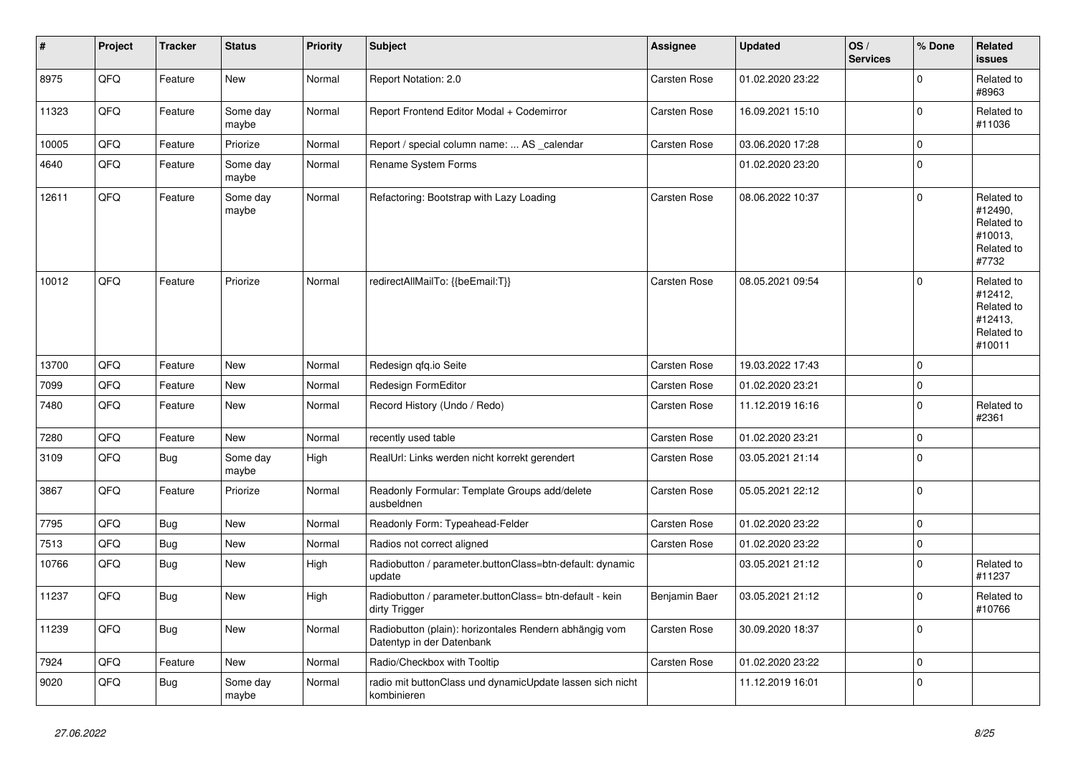| ∦     | Project | <b>Tracker</b> | <b>Status</b>     | <b>Priority</b> | <b>Subject</b>                                                                      | <b>Assignee</b>     | <b>Updated</b>   | OS/<br><b>Services</b> | % Done      | Related<br><b>issues</b>                                               |
|-------|---------|----------------|-------------------|-----------------|-------------------------------------------------------------------------------------|---------------------|------------------|------------------------|-------------|------------------------------------------------------------------------|
| 8975  | QFQ     | Feature        | New               | Normal          | Report Notation: 2.0                                                                | <b>Carsten Rose</b> | 01.02.2020 23:22 |                        | $\mathbf 0$ | Related to<br>#8963                                                    |
| 11323 | QFQ     | Feature        | Some day<br>maybe | Normal          | Report Frontend Editor Modal + Codemirror                                           | Carsten Rose        | 16.09.2021 15:10 |                        | $\pmb{0}$   | Related to<br>#11036                                                   |
| 10005 | QFQ     | Feature        | Priorize          | Normal          | Report / special column name:  AS _calendar                                         | <b>Carsten Rose</b> | 03.06.2020 17:28 |                        | $\mathbf 0$ |                                                                        |
| 4640  | QFQ     | Feature        | Some day<br>maybe | Normal          | Rename System Forms                                                                 |                     | 01.02.2020 23:20 |                        | $\mathbf 0$ |                                                                        |
| 12611 | QFQ     | Feature        | Some day<br>maybe | Normal          | Refactoring: Bootstrap with Lazy Loading                                            | <b>Carsten Rose</b> | 08.06.2022 10:37 |                        | $\mathbf 0$ | Related to<br>#12490,<br>Related to<br>#10013.<br>Related to<br>#7732  |
| 10012 | QFQ     | Feature        | Priorize          | Normal          | redirectAllMailTo: {{beEmail:T}}                                                    | <b>Carsten Rose</b> | 08.05.2021 09:54 |                        | $\mathbf 0$ | Related to<br>#12412,<br>Related to<br>#12413,<br>Related to<br>#10011 |
| 13700 | QFQ     | Feature        | <b>New</b>        | Normal          | Redesign gfg.io Seite                                                               | <b>Carsten Rose</b> | 19.03.2022 17:43 |                        | $\mathbf 0$ |                                                                        |
| 7099  | QFQ     | Feature        | New               | Normal          | Redesign FormEditor                                                                 | <b>Carsten Rose</b> | 01.02.2020 23:21 |                        | $\mathbf 0$ |                                                                        |
| 7480  | QFQ     | Feature        | <b>New</b>        | Normal          | Record History (Undo / Redo)                                                        | <b>Carsten Rose</b> | 11.12.2019 16:16 |                        | $\mathbf 0$ | Related to<br>#2361                                                    |
| 7280  | QFQ     | Feature        | <b>New</b>        | Normal          | recently used table                                                                 | Carsten Rose        | 01.02.2020 23:21 |                        | $\pmb{0}$   |                                                                        |
| 3109  | QFQ     | <b>Bug</b>     | Some day<br>maybe | High            | RealUrl: Links werden nicht korrekt gerendert                                       | Carsten Rose        | 03.05.2021 21:14 |                        | $\mathbf 0$ |                                                                        |
| 3867  | QFQ     | Feature        | Priorize          | Normal          | Readonly Formular: Template Groups add/delete<br>ausbeldnen                         | <b>Carsten Rose</b> | 05.05.2021 22:12 |                        | $\Omega$    |                                                                        |
| 7795  | QFQ     | <b>Bug</b>     | New               | Normal          | Readonly Form: Typeahead-Felder                                                     | Carsten Rose        | 01.02.2020 23:22 |                        | $\mathbf 0$ |                                                                        |
| 7513  | QFQ     | <b>Bug</b>     | New               | Normal          | Radios not correct aligned                                                          | Carsten Rose        | 01.02.2020 23:22 |                        | $\mathbf 0$ |                                                                        |
| 10766 | QFQ     | <b>Bug</b>     | New               | High            | Radiobutton / parameter.buttonClass=btn-default: dynamic<br>update                  |                     | 03.05.2021 21:12 |                        | $\mathbf 0$ | Related to<br>#11237                                                   |
| 11237 | QFQ     | Bug            | New               | High            | Radiobutton / parameter.buttonClass= btn-default - kein<br>dirty Trigger            | Benjamin Baer       | 03.05.2021 21:12 |                        | $\mathbf 0$ | Related to<br>#10766                                                   |
| 11239 | QFQ     | <b>Bug</b>     | New               | Normal          | Radiobutton (plain): horizontales Rendern abhängig vom<br>Datentyp in der Datenbank | Carsten Rose        | 30.09.2020 18:37 |                        | $\mathbf 0$ |                                                                        |
| 7924  | QFQ     | Feature        | New               | Normal          | Radio/Checkbox with Tooltip                                                         | Carsten Rose        | 01.02.2020 23:22 |                        | $\pmb{0}$   |                                                                        |
| 9020  | QFQ     | <b>Bug</b>     | Some day<br>maybe | Normal          | radio mit buttonClass und dynamicUpdate lassen sich nicht<br>kombinieren            |                     | 11.12.2019 16:01 |                        | $\mathbf 0$ |                                                                        |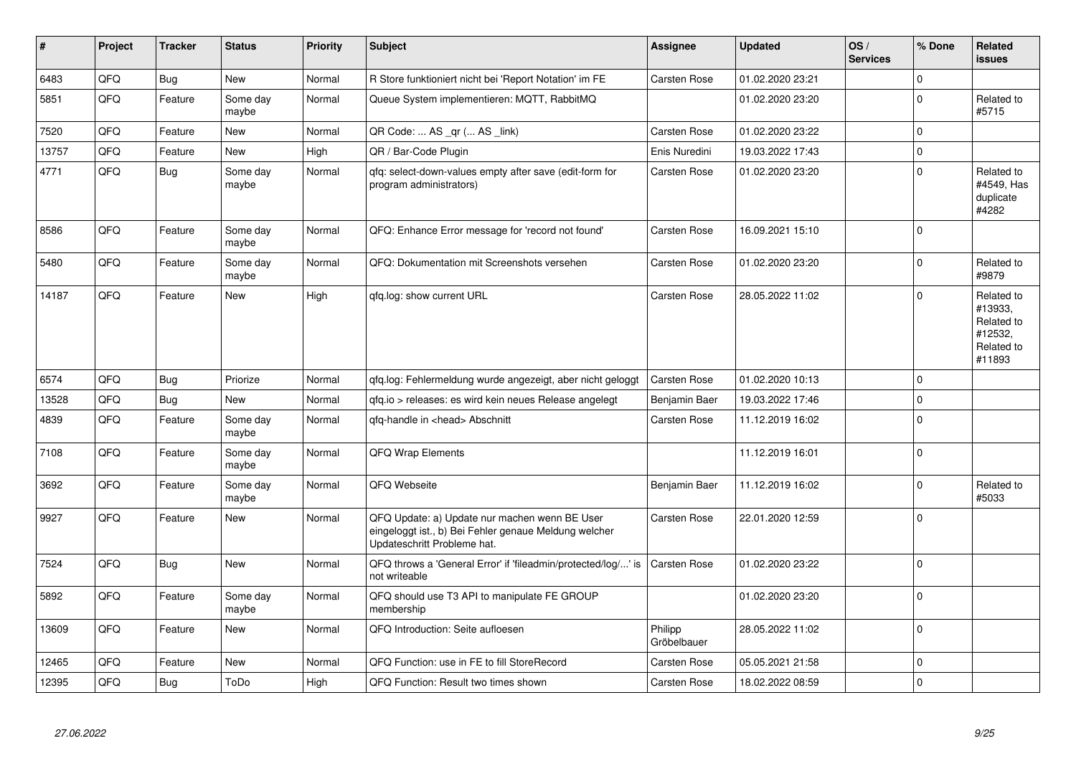| $\vert$ # | Project | <b>Tracker</b> | <b>Status</b>     | <b>Priority</b> | <b>Subject</b>                                                                                                                        | <b>Assignee</b>        | <b>Updated</b>   | OS/<br><b>Services</b> | % Done      | Related<br><b>issues</b>                                               |
|-----------|---------|----------------|-------------------|-----------------|---------------------------------------------------------------------------------------------------------------------------------------|------------------------|------------------|------------------------|-------------|------------------------------------------------------------------------|
| 6483      | QFQ     | <b>Bug</b>     | New               | Normal          | R Store funktioniert nicht bei 'Report Notation' im FE                                                                                | Carsten Rose           | 01.02.2020 23:21 |                        | $\Omega$    |                                                                        |
| 5851      | QFQ     | Feature        | Some day<br>maybe | Normal          | Queue System implementieren: MQTT, RabbitMQ                                                                                           |                        | 01.02.2020 23:20 |                        | $\Omega$    | Related to<br>#5715                                                    |
| 7520      | QFQ     | Feature        | New               | Normal          | QR Code:  AS _qr ( AS _link)                                                                                                          | <b>Carsten Rose</b>    | 01.02.2020 23:22 |                        | $\mathbf 0$ |                                                                        |
| 13757     | QFQ     | Feature        | New               | High            | QR / Bar-Code Plugin                                                                                                                  | Enis Nuredini          | 19.03.2022 17:43 |                        | $\mathbf 0$ |                                                                        |
| 4771      | QFQ     | <b>Bug</b>     | Some day<br>maybe | Normal          | qfq: select-down-values empty after save (edit-form for<br>program administrators)                                                    | Carsten Rose           | 01.02.2020 23:20 |                        | $\Omega$    | Related to<br>#4549, Has<br>duplicate<br>#4282                         |
| 8586      | QFQ     | Feature        | Some day<br>maybe | Normal          | QFQ: Enhance Error message for 'record not found'                                                                                     | <b>Carsten Rose</b>    | 16.09.2021 15:10 |                        | $\Omega$    |                                                                        |
| 5480      | QFQ     | Feature        | Some day<br>maybe | Normal          | QFQ: Dokumentation mit Screenshots versehen                                                                                           | <b>Carsten Rose</b>    | 01.02.2020 23:20 |                        | $\Omega$    | Related to<br>#9879                                                    |
| 14187     | QFQ     | Feature        | <b>New</b>        | High            | gfg.log: show current URL                                                                                                             | <b>Carsten Rose</b>    | 28.05.2022 11:02 |                        | $\Omega$    | Related to<br>#13933,<br>Related to<br>#12532,<br>Related to<br>#11893 |
| 6574      | QFQ     | Bug            | Priorize          | Normal          | qfq.log: Fehlermeldung wurde angezeigt, aber nicht geloggt                                                                            | <b>Carsten Rose</b>    | 01.02.2020 10:13 |                        | $\Omega$    |                                                                        |
| 13528     | QFQ     | Bug            | <b>New</b>        | Normal          | gfg.io > releases: es wird kein neues Release angelegt                                                                                | Benjamin Baer          | 19.03.2022 17:46 |                        | $\mathbf 0$ |                                                                        |
| 4839      | QFQ     | Feature        | Some day<br>maybe | Normal          | qfq-handle in <head> Abschnitt</head>                                                                                                 | <b>Carsten Rose</b>    | 11.12.2019 16:02 |                        | $\Omega$    |                                                                        |
| 7108      | QFQ     | Feature        | Some day<br>maybe | Normal          | <b>QFQ Wrap Elements</b>                                                                                                              |                        | 11.12.2019 16:01 |                        | $\mathbf 0$ |                                                                        |
| 3692      | QFQ     | Feature        | Some day<br>maybe | Normal          | QFQ Webseite                                                                                                                          | Benjamin Baer          | 11.12.2019 16:02 |                        | $\Omega$    | Related to<br>#5033                                                    |
| 9927      | QFQ     | Feature        | <b>New</b>        | Normal          | QFQ Update: a) Update nur machen wenn BE User<br>eingeloggt ist., b) Bei Fehler genaue Meldung welcher<br>Updateschritt Probleme hat. | <b>Carsten Rose</b>    | 22.01.2020 12:59 |                        | $\mathbf 0$ |                                                                        |
| 7524      | QFQ     | <b>Bug</b>     | <b>New</b>        | Normal          | QFQ throws a 'General Error' if 'fileadmin/protected/log/' is<br>not writeable                                                        | Carsten Rose           | 01.02.2020 23:22 |                        | $\Omega$    |                                                                        |
| 5892      | QFQ     | Feature        | Some day<br>maybe | Normal          | QFQ should use T3 API to manipulate FE GROUP<br>membership                                                                            |                        | 01.02.2020 23:20 |                        | $\mathbf 0$ |                                                                        |
| 13609     | QFQ     | Feature        | New               | Normal          | QFQ Introduction: Seite aufloesen                                                                                                     | Philipp<br>Gröbelbauer | 28.05.2022 11:02 |                        | $\mathbf 0$ |                                                                        |
| 12465     | QFQ     | Feature        | New               | Normal          | QFQ Function: use in FE to fill StoreRecord                                                                                           | <b>Carsten Rose</b>    | 05.05.2021 21:58 |                        | $\mathbf 0$ |                                                                        |
| 12395     | QFQ     | <b>Bug</b>     | ToDo              | High            | QFQ Function: Result two times shown                                                                                                  | <b>Carsten Rose</b>    | 18.02.2022 08:59 |                        | $\mathbf 0$ |                                                                        |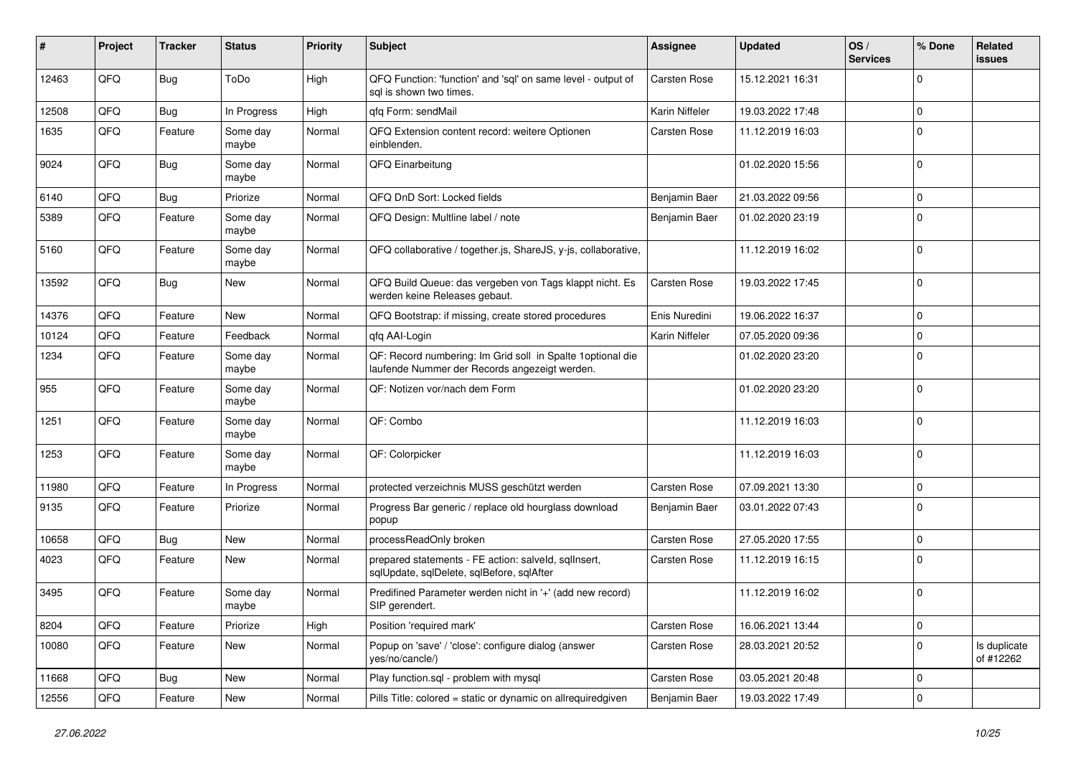| #     | Project | <b>Tracker</b> | <b>Status</b>     | <b>Priority</b> | <b>Subject</b>                                                                                               | <b>Assignee</b> | <b>Updated</b>   | OS/<br><b>Services</b> | % Done      | Related<br>issues         |
|-------|---------|----------------|-------------------|-----------------|--------------------------------------------------------------------------------------------------------------|-----------------|------------------|------------------------|-------------|---------------------------|
| 12463 | QFQ     | Bug            | ToDo              | High            | QFQ Function: 'function' and 'sql' on same level - output of<br>sal is shown two times.                      | Carsten Rose    | 15.12.2021 16:31 |                        | $\Omega$    |                           |
| 12508 | QFQ     | Bug            | In Progress       | High            | qfq Form: sendMail                                                                                           | Karin Niffeler  | 19.03.2022 17:48 |                        | $\mathbf 0$ |                           |
| 1635  | QFQ     | Feature        | Some day<br>maybe | Normal          | QFQ Extension content record: weitere Optionen<br>einblenden.                                                | Carsten Rose    | 11.12.2019 16:03 |                        | $\Omega$    |                           |
| 9024  | QFQ     | Bug            | Some day<br>maybe | Normal          | QFQ Einarbeitung                                                                                             |                 | 01.02.2020 15:56 |                        | $\Omega$    |                           |
| 6140  | QFQ     | Bug            | Priorize          | Normal          | QFQ DnD Sort: Locked fields                                                                                  | Benjamin Baer   | 21.03.2022 09:56 |                        | $\Omega$    |                           |
| 5389  | QFQ     | Feature        | Some day<br>maybe | Normal          | QFQ Design: Multline label / note                                                                            | Benjamin Baer   | 01.02.2020 23:19 |                        | $\mathbf 0$ |                           |
| 5160  | QFQ     | Feature        | Some day<br>maybe | Normal          | QFQ collaborative / together.js, ShareJS, y-js, collaborative,                                               |                 | 11.12.2019 16:02 |                        | $\mathbf 0$ |                           |
| 13592 | QFQ     | Bug            | New               | Normal          | QFQ Build Queue: das vergeben von Tags klappt nicht. Es<br>werden keine Releases gebaut.                     | Carsten Rose    | 19.03.2022 17:45 |                        | $\Omega$    |                           |
| 14376 | QFQ     | Feature        | <b>New</b>        | Normal          | QFQ Bootstrap: if missing, create stored procedures                                                          | Enis Nuredini   | 19.06.2022 16:37 |                        | $\mathbf 0$ |                           |
| 10124 | QFQ     | Feature        | Feedback          | Normal          | qfq AAI-Login                                                                                                | Karin Niffeler  | 07.05.2020 09:36 |                        | 0           |                           |
| 1234  | QFQ     | Feature        | Some day<br>maybe | Normal          | QF: Record numbering: Im Grid soll in Spalte 1 optional die<br>laufende Nummer der Records angezeigt werden. |                 | 01.02.2020 23:20 |                        | $\Omega$    |                           |
| 955   | QFQ     | Feature        | Some day<br>maybe | Normal          | QF: Notizen vor/nach dem Form                                                                                |                 | 01.02.2020 23:20 |                        | $\Omega$    |                           |
| 1251  | QFQ     | Feature        | Some day<br>maybe | Normal          | QF: Combo                                                                                                    |                 | 11.12.2019 16:03 |                        | $\Omega$    |                           |
| 1253  | QFQ     | Feature        | Some day<br>maybe | Normal          | QF: Colorpicker                                                                                              |                 | 11.12.2019 16:03 |                        | $\Omega$    |                           |
| 11980 | QFQ     | Feature        | In Progress       | Normal          | protected verzeichnis MUSS geschützt werden                                                                  | Carsten Rose    | 07.09.2021 13:30 |                        | $\Omega$    |                           |
| 9135  | QFQ     | Feature        | Priorize          | Normal          | Progress Bar generic / replace old hourglass download<br>popup                                               | Benjamin Baer   | 03.01.2022 07:43 |                        | $\mathbf 0$ |                           |
| 10658 | QFQ     | Bug            | <b>New</b>        | Normal          | processReadOnly broken                                                                                       | Carsten Rose    | 27.05.2020 17:55 |                        | $\Omega$    |                           |
| 4023  | QFQ     | Feature        | New               | Normal          | prepared statements - FE action: salveld, sqllnsert,<br>sqlUpdate, sqlDelete, sqlBefore, sqlAfter            | Carsten Rose    | 11.12.2019 16:15 |                        | $\Omega$    |                           |
| 3495  | QFQ     | Feature        | Some day<br>maybe | Normal          | Predifined Parameter werden nicht in '+' (add new record)<br>SIP gerendert.                                  |                 | 11.12.2019 16:02 |                        | $\Omega$    |                           |
| 8204  | QFQ     | Feature        | Priorize          | High            | Position 'required mark'                                                                                     | Carsten Rose    | 16.06.2021 13:44 |                        | 0           |                           |
| 10080 | QFQ     | Feature        | New               | Normal          | Popup on 'save' / 'close': configure dialog (answer<br>yes/no/cancle/)                                       | Carsten Rose    | 28.03.2021 20:52 |                        | $\mathbf 0$ | Is duplicate<br>of #12262 |
| 11668 | QFQ     | Bug            | New               | Normal          | Play function.sql - problem with mysql                                                                       | Carsten Rose    | 03.05.2021 20:48 |                        | 0           |                           |
| 12556 | QFQ     | Feature        | New               | Normal          | Pills Title: colored = static or dynamic on allrequiredgiven                                                 | Benjamin Baer   | 19.03.2022 17:49 |                        | 0           |                           |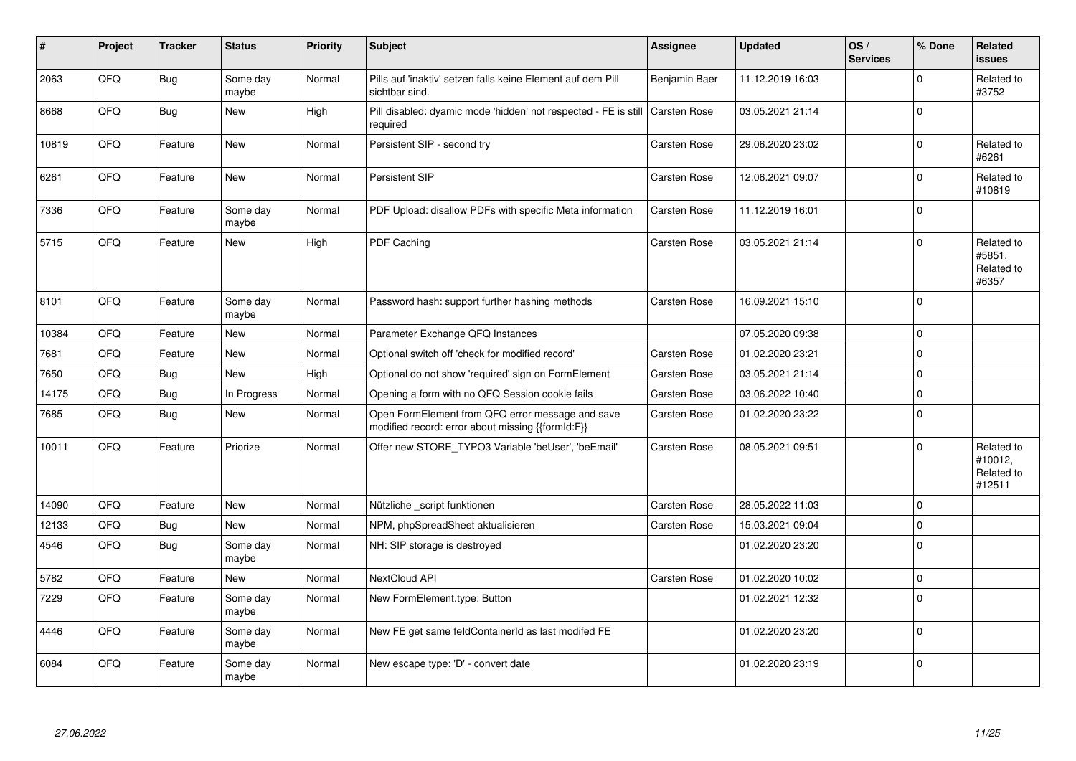| #     | Project | <b>Tracker</b> | <b>Status</b>     | <b>Priority</b> | <b>Subject</b>                                                                                        | <b>Assignee</b>     | <b>Updated</b>   | OS/<br><b>Services</b> | % Done         | Related<br><b>issues</b>                      |
|-------|---------|----------------|-------------------|-----------------|-------------------------------------------------------------------------------------------------------|---------------------|------------------|------------------------|----------------|-----------------------------------------------|
| 2063  | QFQ     | <b>Bug</b>     | Some day<br>maybe | Normal          | Pills auf 'inaktiv' setzen falls keine Element auf dem Pill<br>sichtbar sind.                         | Benjamin Baer       | 11.12.2019 16:03 |                        | $\Omega$       | Related to<br>#3752                           |
| 8668  | QFQ     | Bug            | New               | High            | Pill disabled: dyamic mode 'hidden' not respected - FE is still<br>required                           | <b>Carsten Rose</b> | 03.05.2021 21:14 |                        | $\Omega$       |                                               |
| 10819 | QFQ     | Feature        | <b>New</b>        | Normal          | Persistent SIP - second try                                                                           | Carsten Rose        | 29.06.2020 23:02 |                        | $\mathbf 0$    | Related to<br>#6261                           |
| 6261  | QFQ     | Feature        | <b>New</b>        | Normal          | Persistent SIP                                                                                        | Carsten Rose        | 12.06.2021 09:07 |                        | $\Omega$       | Related to<br>#10819                          |
| 7336  | QFQ     | Feature        | Some day<br>maybe | Normal          | PDF Upload: disallow PDFs with specific Meta information                                              | Carsten Rose        | 11.12.2019 16:01 |                        | $\Omega$       |                                               |
| 5715  | QFQ     | Feature        | <b>New</b>        | High            | PDF Caching                                                                                           | Carsten Rose        | 03.05.2021 21:14 |                        | $\Omega$       | Related to<br>#5851,<br>Related to<br>#6357   |
| 8101  | QFQ     | Feature        | Some day<br>maybe | Normal          | Password hash: support further hashing methods                                                        | Carsten Rose        | 16.09.2021 15:10 |                        | $\overline{0}$ |                                               |
| 10384 | QFQ     | Feature        | <b>New</b>        | Normal          | Parameter Exchange QFQ Instances                                                                      |                     | 07.05.2020 09:38 |                        | $\mathbf 0$    |                                               |
| 7681  | QFQ     | Feature        | <b>New</b>        | Normal          | Optional switch off 'check for modified record'                                                       | Carsten Rose        | 01.02.2020 23:21 |                        | $\mathbf 0$    |                                               |
| 7650  | QFQ     | Bug            | <b>New</b>        | High            | Optional do not show 'required' sign on FormElement                                                   | Carsten Rose        | 03.05.2021 21:14 |                        | 0              |                                               |
| 14175 | QFQ     | Bug            | In Progress       | Normal          | Opening a form with no QFQ Session cookie fails                                                       | Carsten Rose        | 03.06.2022 10:40 |                        | $\mathbf 0$    |                                               |
| 7685  | QFQ     | Bug            | New               | Normal          | Open FormElement from QFQ error message and save<br>modified record: error about missing {{formId:F}} | Carsten Rose        | 01.02.2020 23:22 |                        | $\mathbf 0$    |                                               |
| 10011 | QFQ     | Feature        | Priorize          | Normal          | Offer new STORE TYPO3 Variable 'beUser', 'beEmail'                                                    | Carsten Rose        | 08.05.2021 09:51 |                        | $\Omega$       | Related to<br>#10012,<br>Related to<br>#12511 |
| 14090 | QFQ     | Feature        | <b>New</b>        | Normal          | Nützliche _script funktionen                                                                          | Carsten Rose        | 28.05.2022 11:03 |                        | 0              |                                               |
| 12133 | QFQ     | Bug            | New               | Normal          | NPM, phpSpreadSheet aktualisieren                                                                     | Carsten Rose        | 15.03.2021 09:04 |                        | $\mathbf 0$    |                                               |
| 4546  | QFQ     | Bug            | Some day<br>maybe | Normal          | NH: SIP storage is destroyed                                                                          |                     | 01.02.2020 23:20 |                        | $\mathbf 0$    |                                               |
| 5782  | QFQ     | Feature        | New               | Normal          | NextCloud API                                                                                         | Carsten Rose        | 01.02.2020 10:02 |                        | $\mathbf 0$    |                                               |
| 7229  | QFQ     | Feature        | Some day<br>maybe | Normal          | New FormElement.type: Button                                                                          |                     | 01.02.2021 12:32 |                        | $\Omega$       |                                               |
| 4446  | QFQ     | Feature        | Some day<br>maybe | Normal          | New FE get same feldContainerId as last modifed FE                                                    |                     | 01.02.2020 23:20 |                        | $\Omega$       |                                               |
| 6084  | QFQ     | Feature        | Some day<br>maybe | Normal          | New escape type: 'D' - convert date                                                                   |                     | 01.02.2020 23:19 |                        | $\Omega$       |                                               |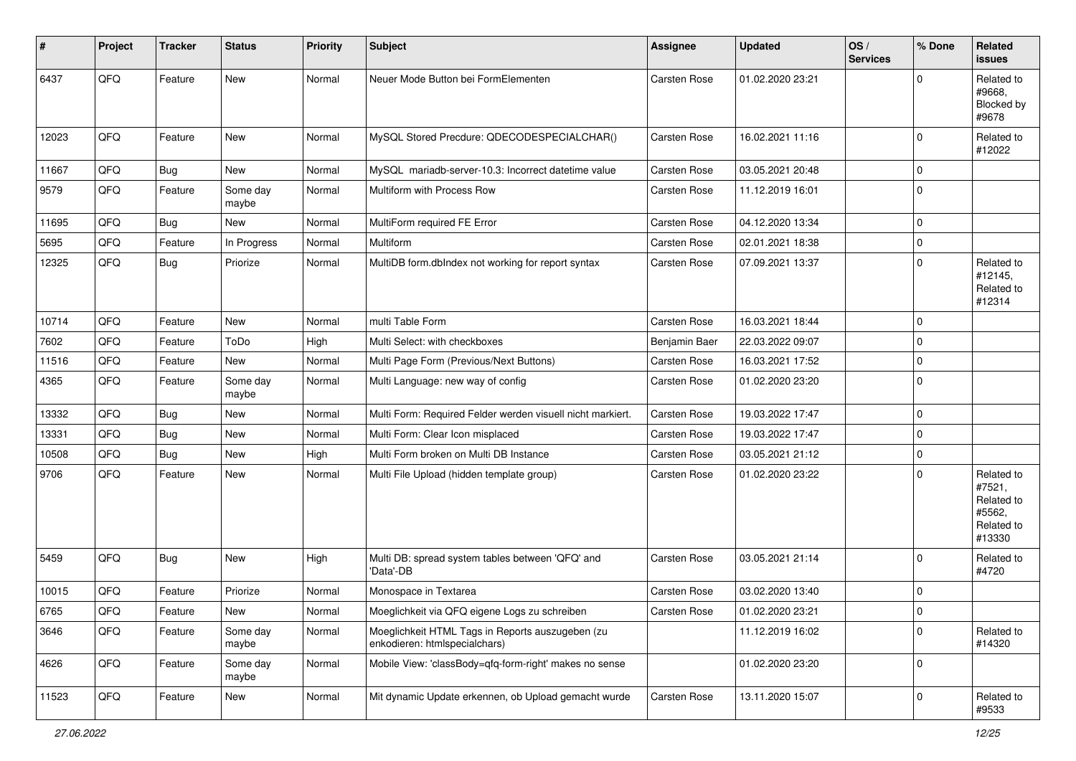| #     | Project | <b>Tracker</b> | <b>Status</b>     | <b>Priority</b> | <b>Subject</b>                                                                    | Assignee            | <b>Updated</b>   | OS/<br><b>Services</b> | % Done       | Related<br>issues                                                    |
|-------|---------|----------------|-------------------|-----------------|-----------------------------------------------------------------------------------|---------------------|------------------|------------------------|--------------|----------------------------------------------------------------------|
| 6437  | QFQ     | Feature        | New               | Normal          | Neuer Mode Button bei FormElementen                                               | Carsten Rose        | 01.02.2020 23:21 |                        | $\Omega$     | Related to<br>#9668,<br>Blocked by<br>#9678                          |
| 12023 | QFQ     | Feature        | New               | Normal          | MySQL Stored Precdure: QDECODESPECIALCHAR()                                       | <b>Carsten Rose</b> | 16.02.2021 11:16 |                        | $\mathbf 0$  | Related to<br>#12022                                                 |
| 11667 | QFQ     | Bug            | New               | Normal          | MySQL mariadb-server-10.3: Incorrect datetime value                               | <b>Carsten Rose</b> | 03.05.2021 20:48 |                        | $\mathbf 0$  |                                                                      |
| 9579  | QFQ     | Feature        | Some day<br>maybe | Normal          | Multiform with Process Row                                                        | Carsten Rose        | 11.12.2019 16:01 |                        | $\mathbf 0$  |                                                                      |
| 11695 | QFQ     | Bug            | New               | Normal          | MultiForm required FE Error                                                       | Carsten Rose        | 04.12.2020 13:34 |                        | $\mathbf 0$  |                                                                      |
| 5695  | QFQ     | Feature        | In Progress       | Normal          | <b>Multiform</b>                                                                  | <b>Carsten Rose</b> | 02.01.2021 18:38 |                        | $\mathbf 0$  |                                                                      |
| 12325 | QFQ     | Bug            | Priorize          | Normal          | MultiDB form.dblndex not working for report syntax                                | <b>Carsten Rose</b> | 07.09.2021 13:37 |                        | $\mathbf 0$  | Related to<br>#12145,<br>Related to<br>#12314                        |
| 10714 | QFQ     | Feature        | New               | Normal          | multi Table Form                                                                  | Carsten Rose        | 16.03.2021 18:44 |                        | $\mathbf 0$  |                                                                      |
| 7602  | QFQ     | Feature        | ToDo              | High            | Multi Select: with checkboxes                                                     | Benjamin Baer       | 22.03.2022 09:07 |                        | $\mathbf 0$  |                                                                      |
| 11516 | QFQ     | Feature        | New               | Normal          | Multi Page Form (Previous/Next Buttons)                                           | Carsten Rose        | 16.03.2021 17:52 |                        | $\mathbf 0$  |                                                                      |
| 4365  | QFQ     | Feature        | Some day<br>maybe | Normal          | Multi Language: new way of config                                                 | Carsten Rose        | 01.02.2020 23:20 |                        | $\Omega$     |                                                                      |
| 13332 | QFQ     | <b>Bug</b>     | New               | Normal          | Multi Form: Required Felder werden visuell nicht markiert.                        | <b>Carsten Rose</b> | 19.03.2022 17:47 |                        | $\mathbf 0$  |                                                                      |
| 13331 | QFQ     | <b>Bug</b>     | New               | Normal          | Multi Form: Clear Icon misplaced                                                  | <b>Carsten Rose</b> | 19.03.2022 17:47 |                        | $\mathbf 0$  |                                                                      |
| 10508 | QFQ     | <b>Bug</b>     | New               | High            | Multi Form broken on Multi DB Instance                                            | <b>Carsten Rose</b> | 03.05.2021 21:12 |                        | $\mathbf 0$  |                                                                      |
| 9706  | QFQ     | Feature        | New               | Normal          | Multi File Upload (hidden template group)                                         | Carsten Rose        | 01.02.2020 23:22 |                        | $\Omega$     | Related to<br>#7521,<br>Related to<br>#5562,<br>Related to<br>#13330 |
| 5459  | QFQ     | Bug            | New               | High            | Multi DB: spread system tables between 'QFQ' and<br>'Data'-DB                     | <b>Carsten Rose</b> | 03.05.2021 21:14 |                        | $\mathbf 0$  | Related to<br>#4720                                                  |
| 10015 | QFQ     | Feature        | Priorize          | Normal          | Monospace in Textarea                                                             | Carsten Rose        | 03.02.2020 13:40 |                        | $\mathbf 0$  |                                                                      |
| 6765  | QFQ     | Feature        | New               | Normal          | Moeglichkeit via QFQ eigene Logs zu schreiben                                     | Carsten Rose        | 01.02.2020 23:21 |                        | $\mathbf{0}$ |                                                                      |
| 3646  | QFQ     | Feature        | Some day<br>maybe | Normal          | Moeglichkeit HTML Tags in Reports auszugeben (zu<br>enkodieren: htmlspecialchars) |                     | 11.12.2019 16:02 |                        | $\mathbf 0$  | Related to<br>#14320                                                 |
| 4626  | QFQ     | Feature        | Some day<br>maybe | Normal          | Mobile View: 'classBody=qfq-form-right' makes no sense                            |                     | 01.02.2020 23:20 |                        | $\mathbf 0$  |                                                                      |
| 11523 | QFQ     | Feature        | New               | Normal          | Mit dynamic Update erkennen, ob Upload gemacht wurde                              | Carsten Rose        | 13.11.2020 15:07 |                        | $\mathbf 0$  | Related to<br>#9533                                                  |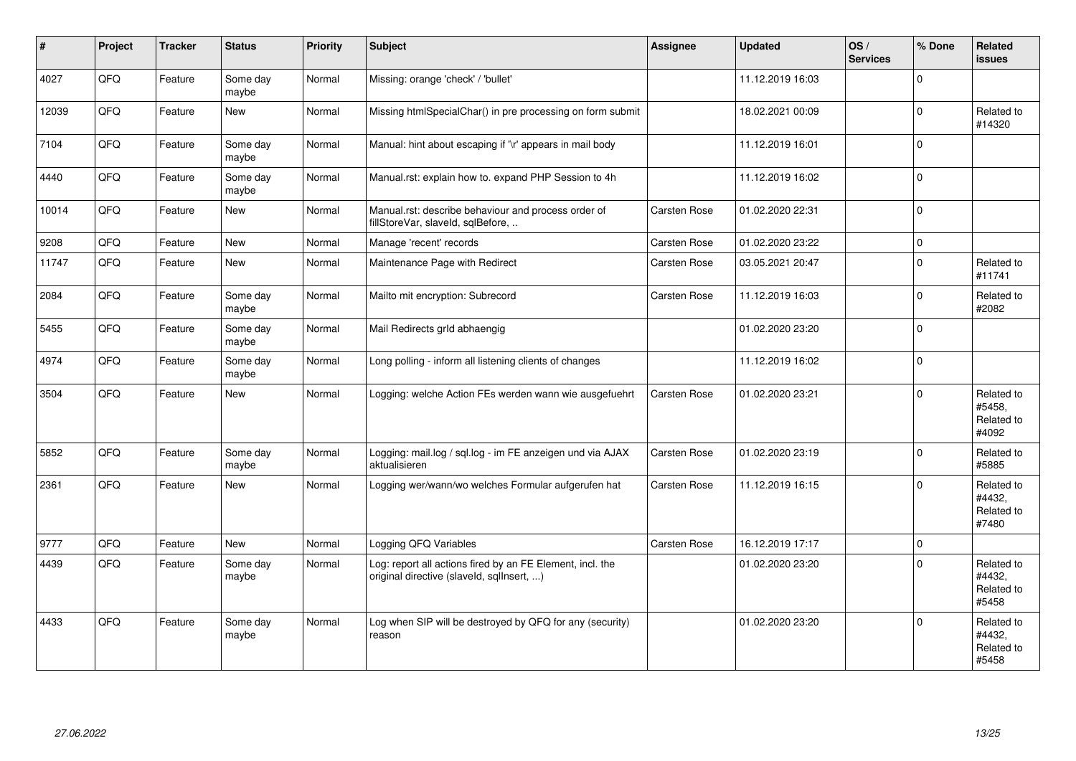| #     | Project | <b>Tracker</b> | <b>Status</b>     | <b>Priority</b> | <b>Subject</b>                                                                                         | <b>Assignee</b>     | <b>Updated</b>   | OS/<br><b>Services</b> | % Done      | Related<br><b>issues</b>                    |
|-------|---------|----------------|-------------------|-----------------|--------------------------------------------------------------------------------------------------------|---------------------|------------------|------------------------|-------------|---------------------------------------------|
| 4027  | QFQ     | Feature        | Some day<br>maybe | Normal          | Missing: orange 'check' / 'bullet'                                                                     |                     | 11.12.2019 16:03 |                        | $\Omega$    |                                             |
| 12039 | QFQ     | Feature        | <b>New</b>        | Normal          | Missing htmlSpecialChar() in pre processing on form submit                                             |                     | 18.02.2021 00:09 |                        | $\Omega$    | Related to<br>#14320                        |
| 7104  | QFQ     | Feature        | Some day<br>maybe | Normal          | Manual: hint about escaping if '\r' appears in mail body                                               |                     | 11.12.2019 16:01 |                        | $\Omega$    |                                             |
| 4440  | QFQ     | Feature        | Some day<br>maybe | Normal          | Manual.rst: explain how to. expand PHP Session to 4h                                                   |                     | 11.12.2019 16:02 |                        | $\Omega$    |                                             |
| 10014 | QFQ     | Feature        | <b>New</b>        | Normal          | Manual.rst: describe behaviour and process order of<br>fillStoreVar, slaveId, sqlBefore,               | Carsten Rose        | 01.02.2020 22:31 |                        | $\Omega$    |                                             |
| 9208  | QFQ     | Feature        | <b>New</b>        | Normal          | Manage 'recent' records                                                                                | Carsten Rose        | 01.02.2020 23:22 |                        | $\mathbf 0$ |                                             |
| 11747 | QFQ     | Feature        | <b>New</b>        | Normal          | Maintenance Page with Redirect                                                                         | Carsten Rose        | 03.05.2021 20:47 |                        | $\Omega$    | Related to<br>#11741                        |
| 2084  | QFQ     | Feature        | Some day<br>maybe | Normal          | Mailto mit encryption: Subrecord                                                                       | Carsten Rose        | 11.12.2019 16:03 |                        | $\Omega$    | Related to<br>#2082                         |
| 5455  | QFQ     | Feature        | Some day<br>maybe | Normal          | Mail Redirects grld abhaengig                                                                          |                     | 01.02.2020 23:20 |                        | $\Omega$    |                                             |
| 4974  | QFQ     | Feature        | Some day<br>maybe | Normal          | Long polling - inform all listening clients of changes                                                 |                     | 11.12.2019 16:02 |                        | $\mathbf 0$ |                                             |
| 3504  | QFQ     | Feature        | <b>New</b>        | Normal          | Logging: welche Action FEs werden wann wie ausgefuehrt                                                 | Carsten Rose        | 01.02.2020 23:21 |                        | $\Omega$    | Related to<br>#5458,<br>Related to<br>#4092 |
| 5852  | QFQ     | Feature        | Some day<br>maybe | Normal          | Logging: mail.log / sql.log - im FE anzeigen und via AJAX<br>aktualisieren                             | Carsten Rose        | 01.02.2020 23:19 |                        | $\Omega$    | Related to<br>#5885                         |
| 2361  | QFQ     | Feature        | <b>New</b>        | Normal          | Logging wer/wann/wo welches Formular aufgerufen hat                                                    | Carsten Rose        | 11.12.2019 16:15 |                        | $\Omega$    | Related to<br>#4432.<br>Related to<br>#7480 |
| 9777  | QFQ     | Feature        | <b>New</b>        | Normal          | Logging QFQ Variables                                                                                  | <b>Carsten Rose</b> | 16.12.2019 17:17 |                        | $\mathbf 0$ |                                             |
| 4439  | QFQ     | Feature        | Some day<br>maybe | Normal          | Log: report all actions fired by an FE Element, incl. the<br>original directive (slaveld, sqllnsert, ) |                     | 01.02.2020 23:20 |                        | $\Omega$    | Related to<br>#4432,<br>Related to<br>#5458 |
| 4433  | QFQ     | Feature        | Some day<br>maybe | Normal          | Log when SIP will be destroyed by QFQ for any (security)<br>reason                                     |                     | 01.02.2020 23:20 |                        | $\Omega$    | Related to<br>#4432,<br>Related to<br>#5458 |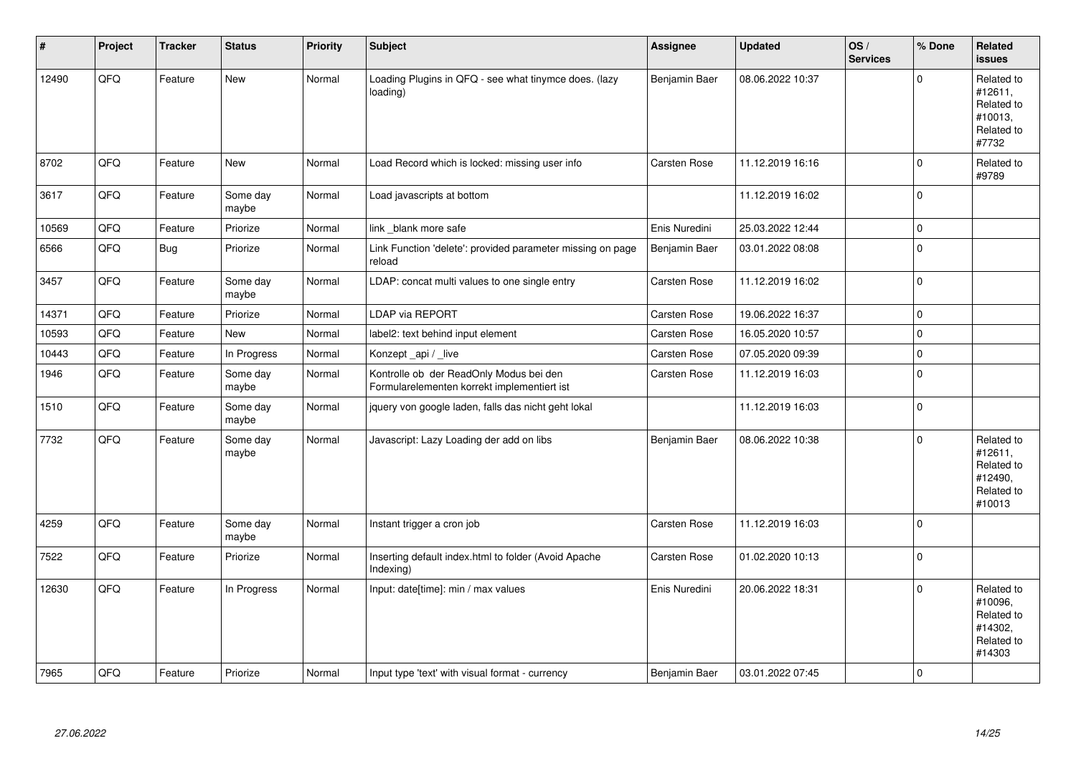| #     | Project | <b>Tracker</b> | <b>Status</b>     | <b>Priority</b> | <b>Subject</b>                                                                         | <b>Assignee</b> | <b>Updated</b>   | OS/<br><b>Services</b> | % Done      | Related<br>issues                                                      |
|-------|---------|----------------|-------------------|-----------------|----------------------------------------------------------------------------------------|-----------------|------------------|------------------------|-------------|------------------------------------------------------------------------|
| 12490 | QFQ     | Feature        | New               | Normal          | Loading Plugins in QFQ - see what tinymce does. (lazy<br>loading)                      | Benjamin Baer   | 08.06.2022 10:37 |                        | $\Omega$    | Related to<br>#12611,<br>Related to<br>#10013,<br>Related to<br>#7732  |
| 8702  | QFQ     | Feature        | New               | Normal          | Load Record which is locked: missing user info                                         | Carsten Rose    | 11.12.2019 16:16 |                        | $\Omega$    | Related to<br>#9789                                                    |
| 3617  | QFQ     | Feature        | Some day<br>maybe | Normal          | Load javascripts at bottom                                                             |                 | 11.12.2019 16:02 |                        | 0           |                                                                        |
| 10569 | QFQ     | Feature        | Priorize          | Normal          | link blank more safe                                                                   | Enis Nuredini   | 25.03.2022 12:44 |                        | $\mathbf 0$ |                                                                        |
| 6566  | QFQ     | Bug            | Priorize          | Normal          | Link Function 'delete': provided parameter missing on page<br>reload                   | Benjamin Baer   | 03.01.2022 08:08 |                        | $\mathbf 0$ |                                                                        |
| 3457  | QFQ     | Feature        | Some day<br>maybe | Normal          | LDAP: concat multi values to one single entry                                          | Carsten Rose    | 11.12.2019 16:02 |                        | 0           |                                                                        |
| 14371 | QFQ     | Feature        | Priorize          | Normal          | LDAP via REPORT                                                                        | Carsten Rose    | 19.06.2022 16:37 |                        | $\Omega$    |                                                                        |
| 10593 | QFQ     | Feature        | New               | Normal          | label2: text behind input element                                                      | Carsten Rose    | 16.05.2020 10:57 |                        | $\mathbf 0$ |                                                                        |
| 10443 | QFQ     | Feature        | In Progress       | Normal          | Konzept api / live                                                                     | Carsten Rose    | 07.05.2020 09:39 |                        | $\mathbf 0$ |                                                                        |
| 1946  | QFQ     | Feature        | Some day<br>maybe | Normal          | Kontrolle ob der ReadOnly Modus bei den<br>Formularelementen korrekt implementiert ist | Carsten Rose    | 11.12.2019 16:03 |                        | $\Omega$    |                                                                        |
| 1510  | QFQ     | Feature        | Some day<br>maybe | Normal          | jquery von google laden, falls das nicht geht lokal                                    |                 | 11.12.2019 16:03 |                        | $\mathbf 0$ |                                                                        |
| 7732  | QFQ     | Feature        | Some day<br>maybe | Normal          | Javascript: Lazy Loading der add on libs                                               | Benjamin Baer   | 08.06.2022 10:38 |                        | $\Omega$    | Related to<br>#12611,<br>Related to<br>#12490,<br>Related to<br>#10013 |
| 4259  | QFQ     | Feature        | Some day<br>maybe | Normal          | Instant trigger a cron job                                                             | Carsten Rose    | 11.12.2019 16:03 |                        | 0           |                                                                        |
| 7522  | QFQ     | Feature        | Priorize          | Normal          | Inserting default index.html to folder (Avoid Apache<br>Indexing)                      | Carsten Rose    | 01.02.2020 10:13 |                        | $\Omega$    |                                                                        |
| 12630 | QFQ     | Feature        | In Progress       | Normal          | Input: date[time]: min / max values                                                    | Enis Nuredini   | 20.06.2022 18:31 |                        | $\mathbf 0$ | Related to<br>#10096,<br>Related to<br>#14302.<br>Related to<br>#14303 |
| 7965  | QFQ     | Feature        | Priorize          | Normal          | Input type 'text' with visual format - currency                                        | Benjamin Baer   | 03.01.2022 07:45 |                        | $\mathbf 0$ |                                                                        |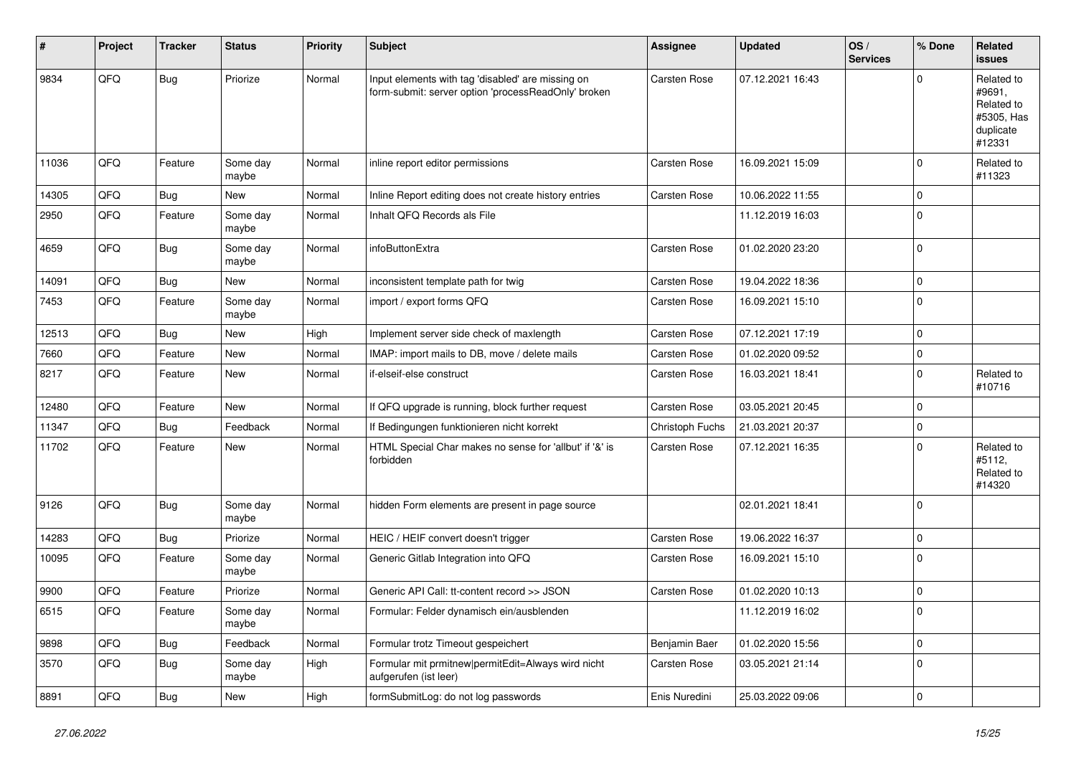| #     | Project | <b>Tracker</b> | <b>Status</b>     | <b>Priority</b> | <b>Subject</b>                                                                                           | <b>Assignee</b>     | <b>Updated</b>   | OS/<br><b>Services</b> | % Done      | Related<br>issues                                                       |
|-------|---------|----------------|-------------------|-----------------|----------------------------------------------------------------------------------------------------------|---------------------|------------------|------------------------|-------------|-------------------------------------------------------------------------|
| 9834  | QFQ     | Bug            | Priorize          | Normal          | Input elements with tag 'disabled' are missing on<br>form-submit: server option 'processReadOnly' broken | <b>Carsten Rose</b> | 07.12.2021 16:43 |                        | $\Omega$    | Related to<br>#9691,<br>Related to<br>#5305, Has<br>duplicate<br>#12331 |
| 11036 | QFQ     | Feature        | Some day<br>maybe | Normal          | inline report editor permissions                                                                         | Carsten Rose        | 16.09.2021 15:09 |                        | $\Omega$    | Related to<br>#11323                                                    |
| 14305 | QFQ     | Bug            | New               | Normal          | Inline Report editing does not create history entries                                                    | Carsten Rose        | 10.06.2022 11:55 |                        | $\mathbf 0$ |                                                                         |
| 2950  | QFQ     | Feature        | Some day<br>maybe | Normal          | Inhalt QFQ Records als File                                                                              |                     | 11.12.2019 16:03 |                        | $\Omega$    |                                                                         |
| 4659  | QFQ     | Bug            | Some day<br>maybe | Normal          | infoButtonExtra                                                                                          | <b>Carsten Rose</b> | 01.02.2020 23:20 |                        | $\Omega$    |                                                                         |
| 14091 | QFQ     | <b>Bug</b>     | New               | Normal          | inconsistent template path for twig                                                                      | Carsten Rose        | 19.04.2022 18:36 |                        | $\Omega$    |                                                                         |
| 7453  | QFQ     | Feature        | Some day<br>maybe | Normal          | import / export forms QFQ                                                                                | Carsten Rose        | 16.09.2021 15:10 |                        | $\Omega$    |                                                                         |
| 12513 | QFQ     | Bug            | New               | High            | Implement server side check of maxlength                                                                 | Carsten Rose        | 07.12.2021 17:19 |                        | $\Omega$    |                                                                         |
| 7660  | QFQ     | Feature        | New               | Normal          | IMAP: import mails to DB, move / delete mails                                                            | Carsten Rose        | 01.02.2020 09:52 |                        | $\mathbf 0$ |                                                                         |
| 8217  | QFQ     | Feature        | New               | Normal          | if-elseif-else construct                                                                                 | Carsten Rose        | 16.03.2021 18:41 |                        | $\Omega$    | Related to<br>#10716                                                    |
| 12480 | QFQ     | Feature        | New               | Normal          | If QFQ upgrade is running, block further request                                                         | Carsten Rose        | 03.05.2021 20:45 |                        | $\mathbf 0$ |                                                                         |
| 11347 | QFQ     | Bug            | Feedback          | Normal          | If Bedingungen funktionieren nicht korrekt                                                               | Christoph Fuchs     | 21.03.2021 20:37 |                        | $\mathbf 0$ |                                                                         |
| 11702 | QFQ     | Feature        | New               | Normal          | HTML Special Char makes no sense for 'allbut' if '&' is<br>forbidden                                     | Carsten Rose        | 07.12.2021 16:35 |                        | $\Omega$    | Related to<br>#5112,<br>Related to<br>#14320                            |
| 9126  | QFQ     | Bug            | Some day<br>maybe | Normal          | hidden Form elements are present in page source                                                          |                     | 02.01.2021 18:41 |                        | $\Omega$    |                                                                         |
| 14283 | QFQ     | Bug            | Priorize          | Normal          | HEIC / HEIF convert doesn't trigger                                                                      | <b>Carsten Rose</b> | 19.06.2022 16:37 |                        | $\mathbf 0$ |                                                                         |
| 10095 | QFQ     | Feature        | Some day<br>maybe | Normal          | Generic Gitlab Integration into QFQ                                                                      | Carsten Rose        | 16.09.2021 15:10 |                        | $\Omega$    |                                                                         |
| 9900  | QFQ     | Feature        | Priorize          | Normal          | Generic API Call: tt-content record >> JSON                                                              | Carsten Rose        | 01.02.2020 10:13 |                        | $\mathbf 0$ |                                                                         |
| 6515  | QFQ     | Feature        | Some day<br>maybe | Normal          | Formular: Felder dynamisch ein/ausblenden                                                                |                     | 11.12.2019 16:02 |                        | O           |                                                                         |
| 9898  | QFQ     | Bug            | Feedback          | Normal          | Formular trotz Timeout gespeichert                                                                       | Benjamin Baer       | 01.02.2020 15:56 |                        | 0           |                                                                         |
| 3570  | QFQ     | Bug            | Some day<br>maybe | High            | Formular mit prmitnew permitEdit=Always wird nicht<br>aufgerufen (ist leer)                              | Carsten Rose        | 03.05.2021 21:14 |                        | $\mathbf 0$ |                                                                         |
| 8891  | QFQ     | <b>Bug</b>     | New               | High            | formSubmitLog: do not log passwords                                                                      | Enis Nuredini       | 25.03.2022 09:06 |                        | 0           |                                                                         |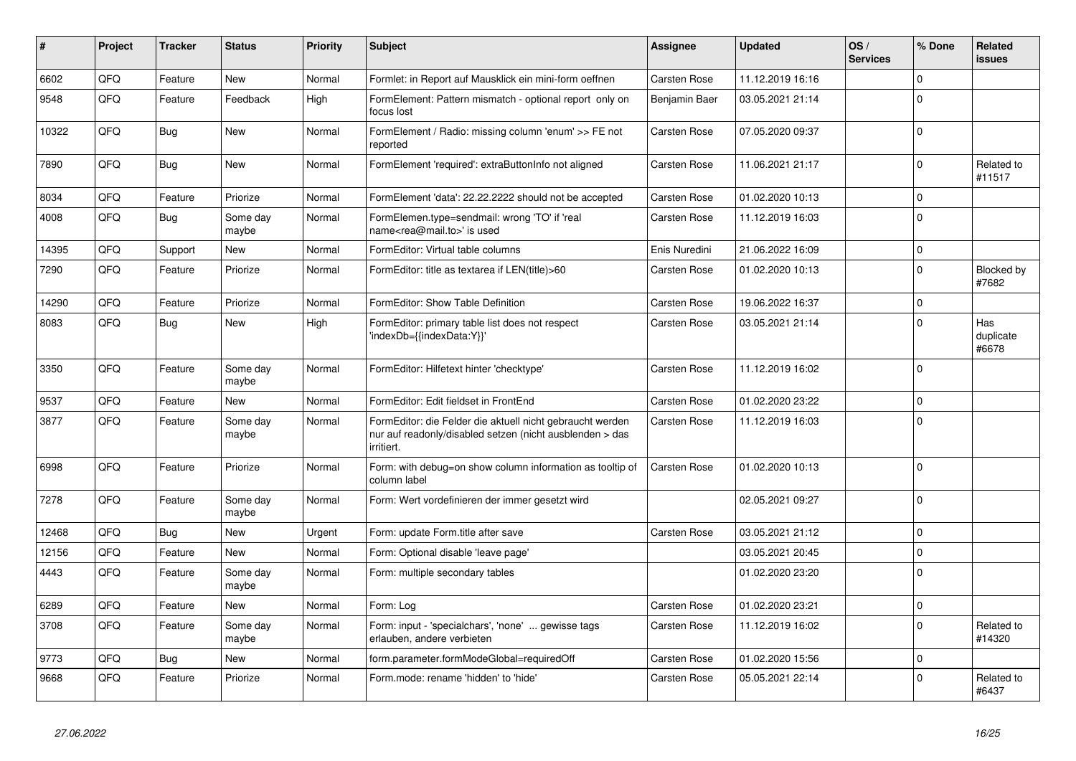| #     | Project | <b>Tracker</b> | <b>Status</b>     | <b>Priority</b> | <b>Subject</b>                                                                                                                      | <b>Assignee</b>     | <b>Updated</b>   | OS/<br><b>Services</b> | % Done      | Related<br>issues         |
|-------|---------|----------------|-------------------|-----------------|-------------------------------------------------------------------------------------------------------------------------------------|---------------------|------------------|------------------------|-------------|---------------------------|
| 6602  | QFQ     | Feature        | <b>New</b>        | Normal          | Formlet: in Report auf Mausklick ein mini-form oeffnen                                                                              | <b>Carsten Rose</b> | 11.12.2019 16:16 |                        | $\Omega$    |                           |
| 9548  | QFQ     | Feature        | Feedback          | High            | FormElement: Pattern mismatch - optional report only on<br>focus lost                                                               | Benjamin Baer       | 03.05.2021 21:14 |                        | $\Omega$    |                           |
| 10322 | QFQ     | <b>Bug</b>     | <b>New</b>        | Normal          | FormElement / Radio: missing column 'enum' >> FE not<br>reported                                                                    | Carsten Rose        | 07.05.2020 09:37 |                        | $\Omega$    |                           |
| 7890  | QFQ     | Bug            | <b>New</b>        | Normal          | FormElement 'required': extraButtonInfo not aligned                                                                                 | Carsten Rose        | 11.06.2021 21:17 |                        | $\Omega$    | Related to<br>#11517      |
| 8034  | QFQ     | Feature        | Priorize          | Normal          | FormElement 'data': 22.22.2222 should not be accepted                                                                               | Carsten Rose        | 01.02.2020 10:13 |                        | $\mathbf 0$ |                           |
| 4008  | QFQ     | <b>Bug</b>     | Some day<br>maybe | Normal          | FormElemen.type=sendmail: wrong 'TO' if 'real<br>name <rea@mail.to>' is used</rea@mail.to>                                          | Carsten Rose        | 11.12.2019 16:03 |                        | $\Omega$    |                           |
| 14395 | QFQ     | Support        | New               | Normal          | FormEditor: Virtual table columns                                                                                                   | Enis Nuredini       | 21.06.2022 16:09 |                        | $\Omega$    |                           |
| 7290  | QFQ     | Feature        | Priorize          | Normal          | FormEditor: title as textarea if LEN(title)>60                                                                                      | Carsten Rose        | 01.02.2020 10:13 |                        | $\Omega$    | Blocked by<br>#7682       |
| 14290 | QFQ     | Feature        | Priorize          | Normal          | FormEditor: Show Table Definition                                                                                                   | Carsten Rose        | 19.06.2022 16:37 |                        | $\Omega$    |                           |
| 8083  | QFQ     | <b>Bug</b>     | <b>New</b>        | High            | FormEditor: primary table list does not respect<br>'indexDb={{indexData:Y}}'                                                        | Carsten Rose        | 03.05.2021 21:14 |                        | $\Omega$    | Has<br>duplicate<br>#6678 |
| 3350  | QFQ     | Feature        | Some day<br>maybe | Normal          | FormEditor: Hilfetext hinter 'checktype'                                                                                            | Carsten Rose        | 11.12.2019 16:02 |                        | $\Omega$    |                           |
| 9537  | QFQ     | Feature        | <b>New</b>        | Normal          | FormEditor: Edit fieldset in FrontEnd                                                                                               | Carsten Rose        | 01.02.2020 23:22 |                        | $\Omega$    |                           |
| 3877  | QFQ     | Feature        | Some day<br>maybe | Normal          | FormEditor: die Felder die aktuell nicht gebraucht werden<br>nur auf readonly/disabled setzen (nicht ausblenden > das<br>irritiert. | Carsten Rose        | 11.12.2019 16:03 |                        | $\Omega$    |                           |
| 6998  | QFQ     | Feature        | Priorize          | Normal          | Form: with debug=on show column information as tooltip of<br>column label                                                           | <b>Carsten Rose</b> | 01.02.2020 10:13 |                        | $\Omega$    |                           |
| 7278  | QFQ     | Feature        | Some day<br>maybe | Normal          | Form: Wert vordefinieren der immer gesetzt wird                                                                                     |                     | 02.05.2021 09:27 |                        | $\Omega$    |                           |
| 12468 | QFQ     | Bug            | <b>New</b>        | Urgent          | Form: update Form.title after save                                                                                                  | Carsten Rose        | 03.05.2021 21:12 |                        | $\Omega$    |                           |
| 12156 | QFQ     | Feature        | <b>New</b>        | Normal          | Form: Optional disable 'leave page'                                                                                                 |                     | 03.05.2021 20:45 |                        | $\Omega$    |                           |
| 4443  | QFQ     | Feature        | Some day<br>maybe | Normal          | Form: multiple secondary tables                                                                                                     |                     | 01.02.2020 23:20 |                        | $\Omega$    |                           |
| 6289  | QFQ     | Feature        | <b>New</b>        | Normal          | Form: Log                                                                                                                           | Carsten Rose        | 01.02.2020 23:21 |                        | $\Omega$    |                           |
| 3708  | QFQ     | Feature        | Some day<br>maybe | Normal          | Form: input - 'specialchars', 'none'  gewisse tags<br>erlauben, andere verbieten                                                    | Carsten Rose        | 11.12.2019 16:02 |                        | $\Omega$    | Related to<br>#14320      |
| 9773  | QFQ     | Bug            | <b>New</b>        | Normal          | form.parameter.formModeGlobal=requiredOff                                                                                           | Carsten Rose        | 01.02.2020 15:56 |                        | $\Omega$    |                           |
| 9668  | QFQ     | Feature        | Priorize          | Normal          | Form.mode: rename 'hidden' to 'hide'                                                                                                | Carsten Rose        | 05.05.2021 22:14 |                        | $\Omega$    | Related to<br>#6437       |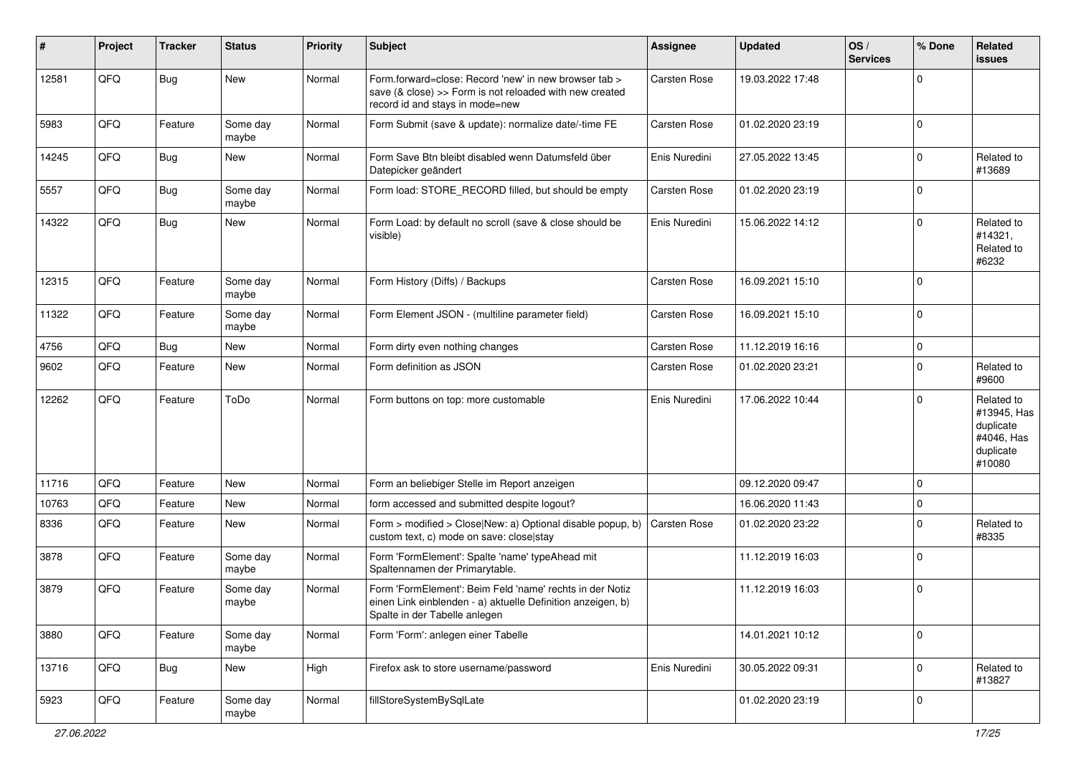| $\sharp$ | Project | <b>Tracker</b> | <b>Status</b>     | <b>Priority</b> | <b>Subject</b>                                                                                                                                           | <b>Assignee</b>     | <b>Updated</b>   | OS/<br><b>Services</b> | % Done      | Related<br><b>issues</b>                                                    |
|----------|---------|----------------|-------------------|-----------------|----------------------------------------------------------------------------------------------------------------------------------------------------------|---------------------|------------------|------------------------|-------------|-----------------------------------------------------------------------------|
| 12581    | QFQ     | Bug            | New               | Normal          | Form.forward=close: Record 'new' in new browser tab ><br>save (& close) >> Form is not reloaded with new created<br>record id and stays in mode=new      | Carsten Rose        | 19.03.2022 17:48 |                        | $\Omega$    |                                                                             |
| 5983     | QFQ     | Feature        | Some day<br>maybe | Normal          | Form Submit (save & update): normalize date/-time FE                                                                                                     | <b>Carsten Rose</b> | 01.02.2020 23:19 |                        | 0           |                                                                             |
| 14245    | QFQ     | Bug            | New               | Normal          | Form Save Btn bleibt disabled wenn Datumsfeld über<br>Datepicker geändert                                                                                | Enis Nuredini       | 27.05.2022 13:45 |                        | $\mathbf 0$ | Related to<br>#13689                                                        |
| 5557     | QFQ     | <b>Bug</b>     | Some day<br>maybe | Normal          | Form load: STORE_RECORD filled, but should be empty                                                                                                      | <b>Carsten Rose</b> | 01.02.2020 23:19 |                        | $\Omega$    |                                                                             |
| 14322    | QFQ     | Bug            | New               | Normal          | Form Load: by default no scroll (save & close should be<br>visible)                                                                                      | Enis Nuredini       | 15.06.2022 14:12 |                        | $\mathbf 0$ | Related to<br>#14321,<br>Related to<br>#6232                                |
| 12315    | QFQ     | Feature        | Some day<br>maybe | Normal          | Form History (Diffs) / Backups                                                                                                                           | <b>Carsten Rose</b> | 16.09.2021 15:10 |                        | $\Omega$    |                                                                             |
| 11322    | QFQ     | Feature        | Some day<br>maybe | Normal          | Form Element JSON - (multiline parameter field)                                                                                                          | Carsten Rose        | 16.09.2021 15:10 |                        | 0           |                                                                             |
| 4756     | QFQ     | Bug            | New               | Normal          | Form dirty even nothing changes                                                                                                                          | <b>Carsten Rose</b> | 11.12.2019 16:16 |                        | $\mathbf 0$ |                                                                             |
| 9602     | QFQ     | Feature        | New               | Normal          | Form definition as JSON                                                                                                                                  | Carsten Rose        | 01.02.2020 23:21 |                        | $\Omega$    | Related to<br>#9600                                                         |
| 12262    | QFQ     | Feature        | ToDo              | Normal          | Form buttons on top: more customable                                                                                                                     | Enis Nuredini       | 17.06.2022 10:44 |                        | $\Omega$    | Related to<br>#13945, Has<br>duplicate<br>#4046, Has<br>duplicate<br>#10080 |
| 11716    | QFQ     | Feature        | New               | Normal          | Form an beliebiger Stelle im Report anzeigen                                                                                                             |                     | 09.12.2020 09:47 |                        | $\mathbf 0$ |                                                                             |
| 10763    | QFQ     | Feature        | New               | Normal          | form accessed and submitted despite logout?                                                                                                              |                     | 16.06.2020 11:43 |                        | $\Omega$    |                                                                             |
| 8336     | QFQ     | Feature        | New               | Normal          | Form > modified > Close New: a) Optional disable popup, b)<br>custom text, c) mode on save: close stay                                                   | <b>Carsten Rose</b> | 01.02.2020 23:22 |                        | $\mathbf 0$ | Related to<br>#8335                                                         |
| 3878     | QFQ     | Feature        | Some day<br>maybe | Normal          | Form 'FormElement': Spalte 'name' typeAhead mit<br>Spaltennamen der Primarytable.                                                                        |                     | 11.12.2019 16:03 |                        | 0           |                                                                             |
| 3879     | QFQ     | Feature        | Some day<br>maybe | Normal          | Form 'FormElement': Beim Feld 'name' rechts in der Notiz<br>einen Link einblenden - a) aktuelle Definition anzeigen, b)<br>Spalte in der Tabelle anlegen |                     | 11.12.2019 16:03 |                        | $\mathbf 0$ |                                                                             |
| 3880     | QFQ     | Feature        | Some day<br>maybe | Normal          | Form 'Form': anlegen einer Tabelle                                                                                                                       |                     | 14.01.2021 10:12 |                        | $\mathbf 0$ |                                                                             |
| 13716    | QFQ     | <b>Bug</b>     | New               | High            | Firefox ask to store username/password                                                                                                                   | Enis Nuredini       | 30.05.2022 09:31 |                        | $\mathbf 0$ | Related to<br>#13827                                                        |
| 5923     | QFQ     | Feature        | Some day<br>maybe | Normal          | fillStoreSystemBySqlLate                                                                                                                                 |                     | 01.02.2020 23:19 |                        | 0           |                                                                             |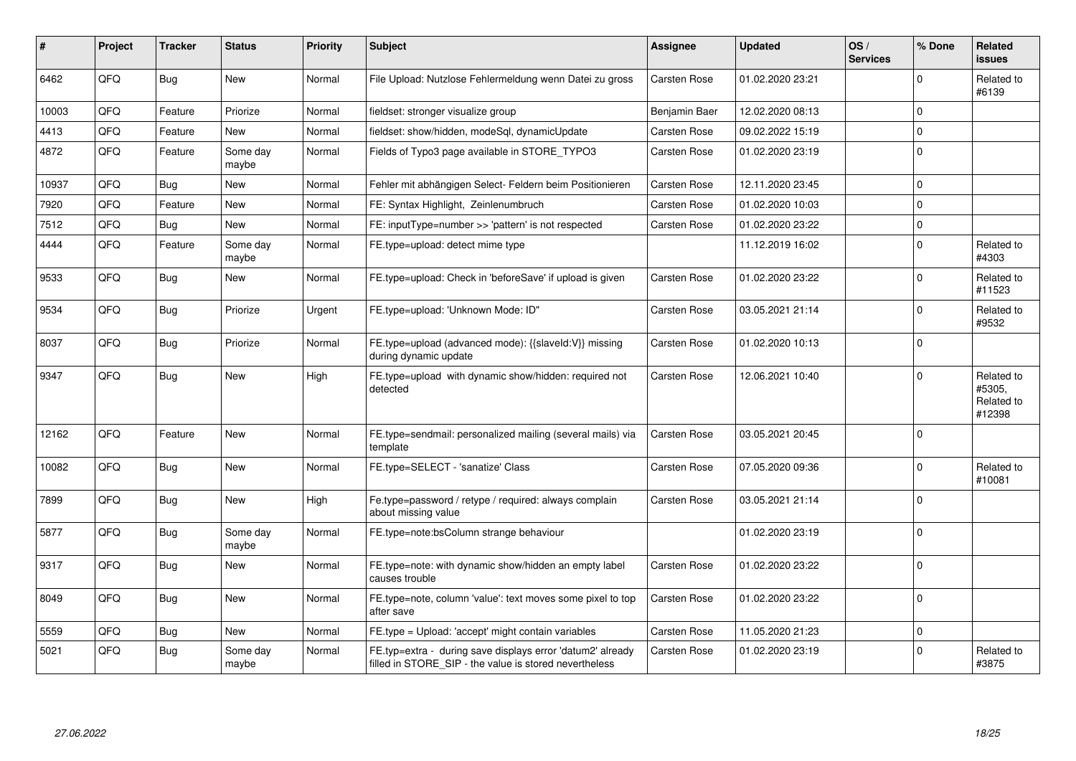| #     | Project | <b>Tracker</b> | <b>Status</b>     | <b>Priority</b> | <b>Subject</b>                                                                                                       | <b>Assignee</b>     | <b>Updated</b>   | OS/<br><b>Services</b> | % Done         | Related<br><b>issues</b>                     |
|-------|---------|----------------|-------------------|-----------------|----------------------------------------------------------------------------------------------------------------------|---------------------|------------------|------------------------|----------------|----------------------------------------------|
| 6462  | QFQ     | Bug            | <b>New</b>        | Normal          | File Upload: Nutzlose Fehlermeldung wenn Datei zu gross                                                              | <b>Carsten Rose</b> | 01.02.2020 23:21 |                        | $\Omega$       | Related to<br>#6139                          |
| 10003 | QFQ     | Feature        | Priorize          | Normal          | fieldset: stronger visualize group                                                                                   | Benjamin Baer       | 12.02.2020 08:13 |                        | $\Omega$       |                                              |
| 4413  | QFQ     | Feature        | New               | Normal          | fieldset: show/hidden, modeSql, dynamicUpdate                                                                        | Carsten Rose        | 09.02.2022 15:19 |                        | $\mathbf 0$    |                                              |
| 4872  | QFQ     | Feature        | Some day<br>maybe | Normal          | Fields of Typo3 page available in STORE_TYPO3                                                                        | Carsten Rose        | 01.02.2020 23:19 |                        | 0              |                                              |
| 10937 | QFQ     | Bug            | New               | Normal          | Fehler mit abhängigen Select- Feldern beim Positionieren                                                             | Carsten Rose        | 12.11.2020 23:45 |                        | $\Omega$       |                                              |
| 7920  | QFQ     | Feature        | New               | Normal          | FE: Syntax Highlight, Zeinlenumbruch                                                                                 | <b>Carsten Rose</b> | 01.02.2020 10:03 |                        | 0              |                                              |
| 7512  | QFQ     | <b>Bug</b>     | New               | Normal          | FE: inputType=number >> 'pattern' is not respected                                                                   | Carsten Rose        | 01.02.2020 23:22 |                        | $\mathbf 0$    |                                              |
| 4444  | QFQ     | Feature        | Some day<br>maybe | Normal          | FE.type=upload: detect mime type                                                                                     |                     | 11.12.2019 16:02 |                        | $\Omega$       | Related to<br>#4303                          |
| 9533  | QFQ     | Bug            | New               | Normal          | FE.type=upload: Check in 'beforeSave' if upload is given                                                             | Carsten Rose        | 01.02.2020 23:22 |                        | $\Omega$       | Related to<br>#11523                         |
| 9534  | QFQ     | <b>Bug</b>     | Priorize          | Urgent          | FE.type=upload: 'Unknown Mode: ID"                                                                                   | Carsten Rose        | 03.05.2021 21:14 |                        | $\Omega$       | Related to<br>#9532                          |
| 8037  | QFQ     | <b>Bug</b>     | Priorize          | Normal          | FE.type=upload (advanced mode): {{slaveld:V}} missing<br>during dynamic update                                       | Carsten Rose        | 01.02.2020 10:13 |                        | $\Omega$       |                                              |
| 9347  | QFQ     | Bug            | <b>New</b>        | High            | FE.type=upload with dynamic show/hidden: required not<br>detected                                                    | Carsten Rose        | 12.06.2021 10:40 |                        | $\Omega$       | Related to<br>#5305.<br>Related to<br>#12398 |
| 12162 | QFQ     | Feature        | New               | Normal          | FE.type=sendmail: personalized mailing (several mails) via<br>template                                               | <b>Carsten Rose</b> | 03.05.2021 20:45 |                        | $\overline{0}$ |                                              |
| 10082 | QFQ     | <b>Bug</b>     | <b>New</b>        | Normal          | FE.type=SELECT - 'sanatize' Class                                                                                    | Carsten Rose        | 07.05.2020 09:36 |                        | $\Omega$       | Related to<br>#10081                         |
| 7899  | QFQ     | Bug            | <b>New</b>        | High            | Fe.type=password / retype / required: always complain<br>about missing value                                         | Carsten Rose        | 03.05.2021 21:14 |                        | $\Omega$       |                                              |
| 5877  | QFQ     | <b>Bug</b>     | Some day<br>maybe | Normal          | FE.type=note:bsColumn strange behaviour                                                                              |                     | 01.02.2020 23:19 |                        | $\Omega$       |                                              |
| 9317  | QFQ     | <b>Bug</b>     | New               | Normal          | FE.type=note: with dynamic show/hidden an empty label<br>causes trouble                                              | Carsten Rose        | 01.02.2020 23:22 |                        | $\Omega$       |                                              |
| 8049  | QFQ     | <b>Bug</b>     | New               | Normal          | FE.type=note, column 'value': text moves some pixel to top<br>after save                                             | <b>Carsten Rose</b> | 01.02.2020 23:22 |                        | $\Omega$       |                                              |
| 5559  | QFQ     | Bug            | New               | Normal          | FE.type = Upload: 'accept' might contain variables                                                                   | Carsten Rose        | 11.05.2020 21:23 |                        | $\mathbf 0$    |                                              |
| 5021  | QFQ     | <b>Bug</b>     | Some day<br>maybe | Normal          | FE.typ=extra - during save displays error 'datum2' already<br>filled in STORE_SIP - the value is stored nevertheless | Carsten Rose        | 01.02.2020 23:19 |                        | $\Omega$       | Related to<br>#3875                          |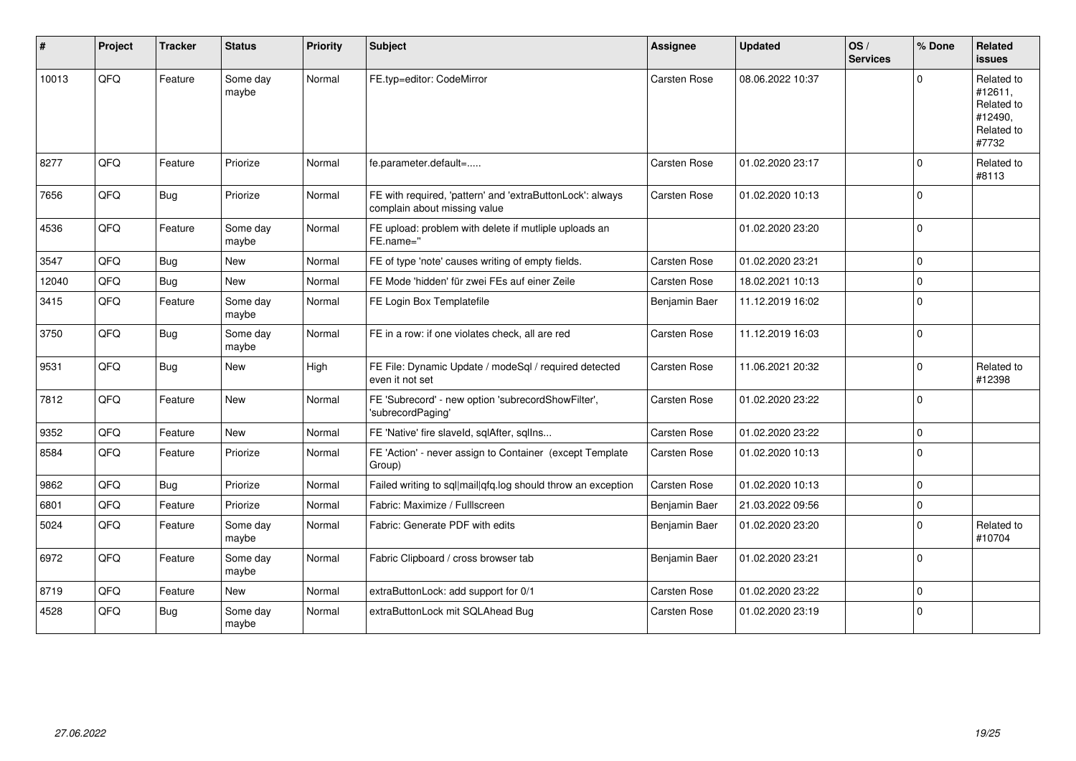| #     | Project | <b>Tracker</b> | <b>Status</b>     | <b>Priority</b> | <b>Subject</b>                                                                            | <b>Assignee</b> | <b>Updated</b>   | OS/<br><b>Services</b> | % Done         | Related<br><b>issues</b>                                              |
|-------|---------|----------------|-------------------|-----------------|-------------------------------------------------------------------------------------------|-----------------|------------------|------------------------|----------------|-----------------------------------------------------------------------|
| 10013 | QFQ     | Feature        | Some day<br>maybe | Normal          | FE.typ=editor: CodeMirror                                                                 | Carsten Rose    | 08.06.2022 10:37 |                        | $\Omega$       | Related to<br>#12611,<br>Related to<br>#12490.<br>Related to<br>#7732 |
| 8277  | QFQ     | Feature        | Priorize          | Normal          | fe.parameter.default=                                                                     | Carsten Rose    | 01.02.2020 23:17 |                        | $\Omega$       | Related to<br>#8113                                                   |
| 7656  | QFQ     | <b>Bug</b>     | Priorize          | Normal          | FE with required, 'pattern' and 'extraButtonLock': always<br>complain about missing value | Carsten Rose    | 01.02.2020 10:13 |                        | $\Omega$       |                                                                       |
| 4536  | QFQ     | Feature        | Some day<br>maybe | Normal          | FE upload: problem with delete if mutliple uploads an<br>FE.name="                        |                 | 01.02.2020 23:20 |                        | $\Omega$       |                                                                       |
| 3547  | QFQ     | Bug            | New               | Normal          | FE of type 'note' causes writing of empty fields.                                         | Carsten Rose    | 01.02.2020 23:21 |                        | $\Omega$       |                                                                       |
| 12040 | QFQ     | Bug            | <b>New</b>        | Normal          | FE Mode 'hidden' für zwei FEs auf einer Zeile                                             | Carsten Rose    | 18.02.2021 10:13 |                        | $\Omega$       |                                                                       |
| 3415  | QFQ     | Feature        | Some day<br>maybe | Normal          | FE Login Box Templatefile                                                                 | Benjamin Baer   | 11.12.2019 16:02 |                        | $\Omega$       |                                                                       |
| 3750  | QFQ     | Bug            | Some day<br>maybe | Normal          | FE in a row: if one violates check, all are red                                           | Carsten Rose    | 11.12.2019 16:03 |                        | 0              |                                                                       |
| 9531  | QFQ     | Bug            | New               | High            | FE File: Dynamic Update / modeSql / required detected<br>even it not set                  | Carsten Rose    | 11.06.2021 20:32 |                        | $\mathbf 0$    | Related to<br>#12398                                                  |
| 7812  | QFQ     | Feature        | New               | Normal          | FE 'Subrecord' - new option 'subrecordShowFilter',<br>'subrecordPaging'                   | Carsten Rose    | 01.02.2020 23:22 |                        | $\overline{0}$ |                                                                       |
| 9352  | QFQ     | Feature        | <b>New</b>        | Normal          | FE 'Native' fire slaveld, sqlAfter, sqlIns                                                | Carsten Rose    | 01.02.2020 23:22 |                        | $\mathbf 0$    |                                                                       |
| 8584  | QFQ     | Feature        | Priorize          | Normal          | FE 'Action' - never assign to Container (except Template<br>Group)                        | Carsten Rose    | 01.02.2020 10:13 |                        | $\Omega$       |                                                                       |
| 9862  | QFQ     | Bug            | Priorize          | Normal          | Failed writing to sql mail qfq.log should throw an exception                              | Carsten Rose    | 01.02.2020 10:13 |                        | $\mathbf 0$    |                                                                       |
| 6801  | QFQ     | Feature        | Priorize          | Normal          | Fabric: Maximize / Fulllscreen                                                            | Benjamin Baer   | 21.03.2022 09:56 |                        | $\mathbf 0$    |                                                                       |
| 5024  | QFQ     | Feature        | Some day<br>maybe | Normal          | Fabric: Generate PDF with edits                                                           | Benjamin Baer   | 01.02.2020 23:20 |                        | $\Omega$       | Related to<br>#10704                                                  |
| 6972  | QFQ     | Feature        | Some day<br>maybe | Normal          | Fabric Clipboard / cross browser tab                                                      | Benjamin Baer   | 01.02.2020 23:21 |                        | $\Omega$       |                                                                       |
| 8719  | QFQ     | Feature        | <b>New</b>        | Normal          | extraButtonLock: add support for 0/1                                                      | Carsten Rose    | 01.02.2020 23:22 |                        | $\mathbf 0$    |                                                                       |
| 4528  | QFQ     | Bug            | Some day<br>maybe | Normal          | extraButtonLock mit SQLAhead Bug                                                          | Carsten Rose    | 01.02.2020 23:19 |                        | $\mathbf 0$    |                                                                       |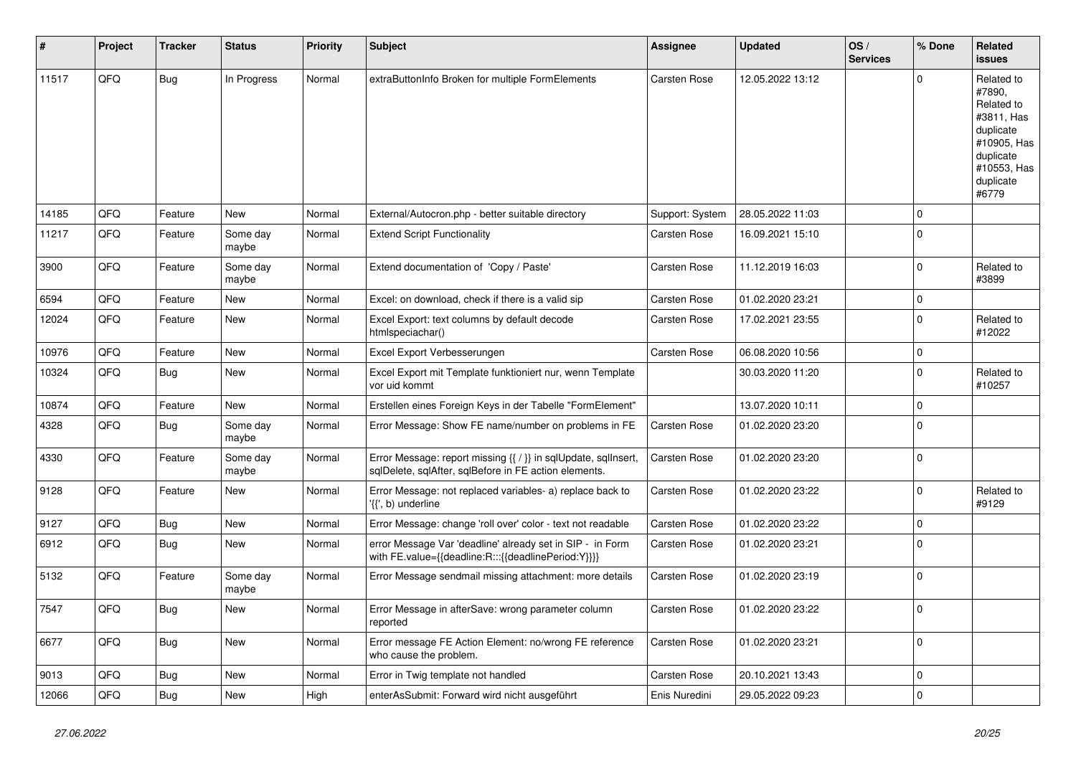| #     | Project | <b>Tracker</b> | <b>Status</b>     | <b>Priority</b> | <b>Subject</b>                                                                                                          | Assignee        | Updated          | OS/<br><b>Services</b> | % Done       | Related<br><b>issues</b>                                                                                                       |
|-------|---------|----------------|-------------------|-----------------|-------------------------------------------------------------------------------------------------------------------------|-----------------|------------------|------------------------|--------------|--------------------------------------------------------------------------------------------------------------------------------|
| 11517 | QFQ     | Bug            | In Progress       | Normal          | extraButtonInfo Broken for multiple FormElements                                                                        | Carsten Rose    | 12.05.2022 13:12 |                        | $\Omega$     | Related to<br>#7890,<br>Related to<br>#3811, Has<br>duplicate<br>#10905, Has<br>duplicate<br>#10553, Has<br>duplicate<br>#6779 |
| 14185 | QFQ     | Feature        | <b>New</b>        | Normal          | External/Autocron.php - better suitable directory                                                                       | Support: System | 28.05.2022 11:03 |                        | $\Omega$     |                                                                                                                                |
| 11217 | QFQ     | Feature        | Some day<br>maybe | Normal          | <b>Extend Script Functionality</b>                                                                                      | Carsten Rose    | 16.09.2021 15:10 |                        | $\Omega$     |                                                                                                                                |
| 3900  | QFQ     | Feature        | Some day<br>maybe | Normal          | Extend documentation of 'Copy / Paste'                                                                                  | Carsten Rose    | 11.12.2019 16:03 |                        | $\Omega$     | Related to<br>#3899                                                                                                            |
| 6594  | QFQ     | Feature        | <b>New</b>        | Normal          | Excel: on download, check if there is a valid sip                                                                       | Carsten Rose    | 01.02.2020 23:21 |                        | $\mathbf 0$  |                                                                                                                                |
| 12024 | QFQ     | Feature        | <b>New</b>        | Normal          | Excel Export: text columns by default decode<br>htmlspeciachar()                                                        | Carsten Rose    | 17.02.2021 23:55 |                        | $\Omega$     | Related to<br>#12022                                                                                                           |
| 10976 | QFQ     | Feature        | <b>New</b>        | Normal          | Excel Export Verbesserungen                                                                                             | Carsten Rose    | 06.08.2020 10:56 |                        | $\mathbf 0$  |                                                                                                                                |
| 10324 | QFQ     | Bug            | New               | Normal          | Excel Export mit Template funktioniert nur, wenn Template<br>vor uid kommt                                              |                 | 30.03.2020 11:20 |                        | $\Omega$     | Related to<br>#10257                                                                                                           |
| 10874 | QFQ     | Feature        | <b>New</b>        | Normal          | Erstellen eines Foreign Keys in der Tabelle "FormElement"                                                               |                 | 13.07.2020 10:11 |                        | $\mathbf 0$  |                                                                                                                                |
| 4328  | QFQ     | Bug            | Some day<br>maybe | Normal          | Error Message: Show FE name/number on problems in FE                                                                    | Carsten Rose    | 01.02.2020 23:20 |                        | $\Omega$     |                                                                                                                                |
| 4330  | QFQ     | Feature        | Some day<br>maybe | Normal          | Error Message: report missing {{ / }} in sqlUpdate, sqlInsert,<br>sglDelete, sglAfter, sglBefore in FE action elements. | Carsten Rose    | 01.02.2020 23:20 |                        | $\Omega$     |                                                                                                                                |
| 9128  | QFQ     | Feature        | <b>New</b>        | Normal          | Error Message: not replaced variables- a) replace back to<br>'{{', b) underline                                         | Carsten Rose    | 01.02.2020 23:22 |                        | $\Omega$     | Related to<br>#9129                                                                                                            |
| 9127  | QFQ     | Bug            | New               | Normal          | Error Message: change 'roll over' color - text not readable                                                             | Carsten Rose    | 01.02.2020 23:22 |                        | $\mathbf{0}$ |                                                                                                                                |
| 6912  | QFQ     | Bug            | <b>New</b>        | Normal          | error Message Var 'deadline' already set in SIP - in Form<br>with FE.value={{deadline:R:::{{deadlinePeriod:Y}}}}        | Carsten Rose    | 01.02.2020 23:21 |                        | $\Omega$     |                                                                                                                                |
| 5132  | QFQ     | Feature        | Some day<br>maybe | Normal          | Error Message sendmail missing attachment: more details                                                                 | Carsten Rose    | 01.02.2020 23:19 |                        | $\Omega$     |                                                                                                                                |
| 7547  | QFQ     | Bug            | <b>New</b>        | Normal          | Error Message in afterSave: wrong parameter column<br>reported                                                          | Carsten Rose    | 01.02.2020 23:22 |                        | $\Omega$     |                                                                                                                                |
| 6677  | QFQ     | <b>Bug</b>     | <b>New</b>        | Normal          | Error message FE Action Element: no/wrong FE reference<br>who cause the problem.                                        | Carsten Rose    | 01.02.2020 23:21 |                        | $\Omega$     |                                                                                                                                |
| 9013  | QFQ     | Bug            | <b>New</b>        | Normal          | Error in Twig template not handled                                                                                      | Carsten Rose    | 20.10.2021 13:43 |                        | $\mathbf 0$  |                                                                                                                                |
| 12066 | QFQ     | Bug            | New               | High            | enterAsSubmit: Forward wird nicht ausgeführt                                                                            | Enis Nuredini   | 29.05.2022 09:23 |                        | $\mathbf 0$  |                                                                                                                                |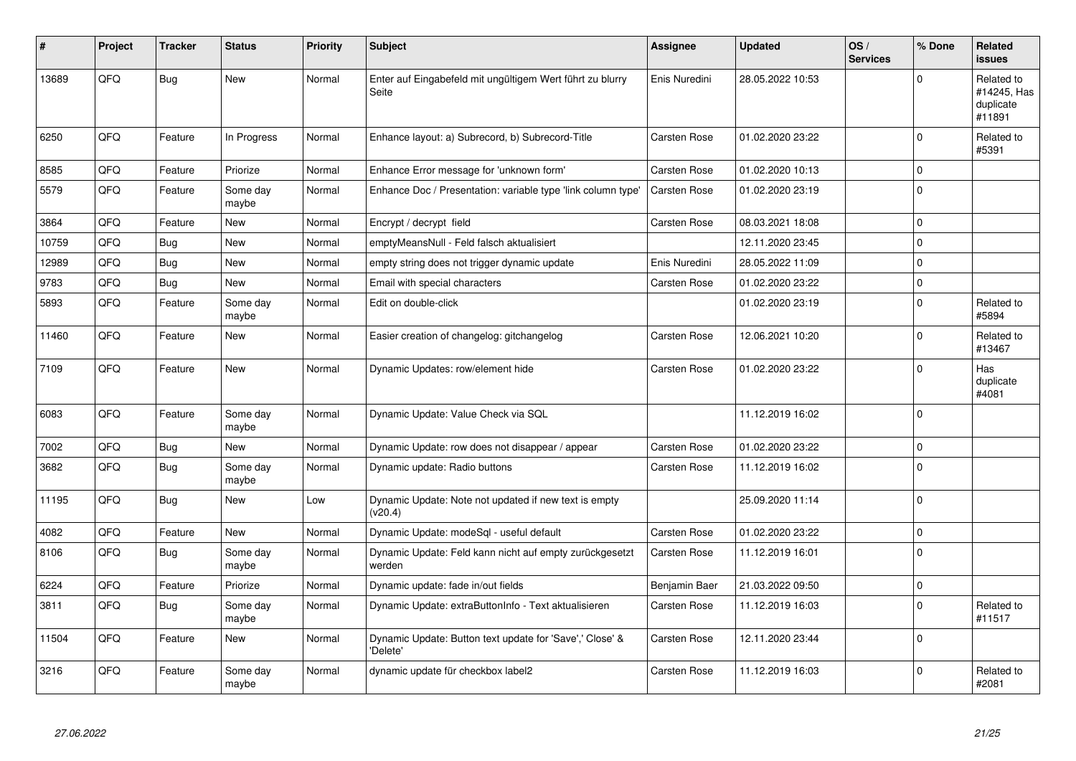| ∦     | Project | <b>Tracker</b> | <b>Status</b>     | <b>Priority</b> | <b>Subject</b>                                                       | Assignee            | <b>Updated</b>   | OS/<br><b>Services</b> | % Done      | Related<br><b>issues</b>                         |
|-------|---------|----------------|-------------------|-----------------|----------------------------------------------------------------------|---------------------|------------------|------------------------|-------------|--------------------------------------------------|
| 13689 | QFQ     | Bug            | <b>New</b>        | Normal          | Enter auf Eingabefeld mit ungültigem Wert führt zu blurry<br>Seite   | Enis Nuredini       | 28.05.2022 10:53 |                        | $\Omega$    | Related to<br>#14245, Has<br>duplicate<br>#11891 |
| 6250  | QFQ     | Feature        | In Progress       | Normal          | Enhance layout: a) Subrecord, b) Subrecord-Title                     | Carsten Rose        | 01.02.2020 23:22 |                        | $\Omega$    | Related to<br>#5391                              |
| 8585  | QFQ     | Feature        | Priorize          | Normal          | Enhance Error message for 'unknown form'                             | Carsten Rose        | 01.02.2020 10:13 |                        | $\Omega$    |                                                  |
| 5579  | QFQ     | Feature        | Some day<br>maybe | Normal          | Enhance Doc / Presentation: variable type 'link column type'         | Carsten Rose        | 01.02.2020 23:19 |                        | $\mathbf 0$ |                                                  |
| 3864  | QFQ     | Feature        | New               | Normal          | Encrypt / decrypt field                                              | Carsten Rose        | 08.03.2021 18:08 |                        | $\mathbf 0$ |                                                  |
| 10759 | QFQ     | <b>Bug</b>     | New               | Normal          | emptyMeansNull - Feld falsch aktualisiert                            |                     | 12.11.2020 23:45 |                        | $\mathbf 0$ |                                                  |
| 12989 | QFQ     | Bug            | <b>New</b>        | Normal          | empty string does not trigger dynamic update                         | Enis Nuredini       | 28.05.2022 11:09 |                        | 0           |                                                  |
| 9783  | QFQ     | Bug            | <b>New</b>        | Normal          | Email with special characters                                        | Carsten Rose        | 01.02.2020 23:22 |                        | $\mathbf 0$ |                                                  |
| 5893  | QFQ     | Feature        | Some day<br>maybe | Normal          | Edit on double-click                                                 |                     | 01.02.2020 23:19 |                        | $\Omega$    | Related to<br>#5894                              |
| 11460 | QFQ     | Feature        | <b>New</b>        | Normal          | Easier creation of changelog: gitchangelog                           | Carsten Rose        | 12.06.2021 10:20 |                        | $\Omega$    | Related to<br>#13467                             |
| 7109  | QFQ     | Feature        | <b>New</b>        | Normal          | Dynamic Updates: row/element hide                                    | Carsten Rose        | 01.02.2020 23:22 |                        | $\Omega$    | Has<br>duplicate<br>#4081                        |
| 6083  | QFQ     | Feature        | Some day<br>maybe | Normal          | Dynamic Update: Value Check via SQL                                  |                     | 11.12.2019 16:02 |                        | $\Omega$    |                                                  |
| 7002  | QFQ     | <b>Bug</b>     | New               | Normal          | Dynamic Update: row does not disappear / appear                      | <b>Carsten Rose</b> | 01.02.2020 23:22 |                        | $\pmb{0}$   |                                                  |
| 3682  | QFQ     | Bug            | Some day<br>maybe | Normal          | Dynamic update: Radio buttons                                        | Carsten Rose        | 11.12.2019 16:02 |                        | $\Omega$    |                                                  |
| 11195 | QFQ     | Bug            | <b>New</b>        | Low             | Dynamic Update: Note not updated if new text is empty<br>(v20.4)     |                     | 25.09.2020 11:14 |                        | $\Omega$    |                                                  |
| 4082  | QFQ     | Feature        | <b>New</b>        | Normal          | Dynamic Update: modeSql - useful default                             | <b>Carsten Rose</b> | 01.02.2020 23:22 |                        | $\mathbf 0$ |                                                  |
| 8106  | QFQ     | Bug            | Some day<br>maybe | Normal          | Dynamic Update: Feld kann nicht auf empty zurückgesetzt<br>werden    | Carsten Rose        | 11.12.2019 16:01 |                        | $\Omega$    |                                                  |
| 6224  | QFQ     | Feature        | Priorize          | Normal          | Dynamic update: fade in/out fields                                   | Benjamin Baer       | 21.03.2022 09:50 |                        | $\mathbf 0$ |                                                  |
| 3811  | QFQ     | Bug            | Some day<br>maybe | Normal          | Dynamic Update: extraButtonInfo - Text aktualisieren                 | <b>Carsten Rose</b> | 11.12.2019 16:03 |                        | $\Omega$    | Related to<br>#11517                             |
| 11504 | QFQ     | Feature        | <b>New</b>        | Normal          | Dynamic Update: Button text update for 'Save',' Close' &<br>'Delete' | Carsten Rose        | 12.11.2020 23:44 |                        | $\mathbf 0$ |                                                  |
| 3216  | QFQ     | Feature        | Some day<br>maybe | Normal          | dynamic update für checkbox label2                                   | <b>Carsten Rose</b> | 11.12.2019 16:03 |                        | $\Omega$    | Related to<br>#2081                              |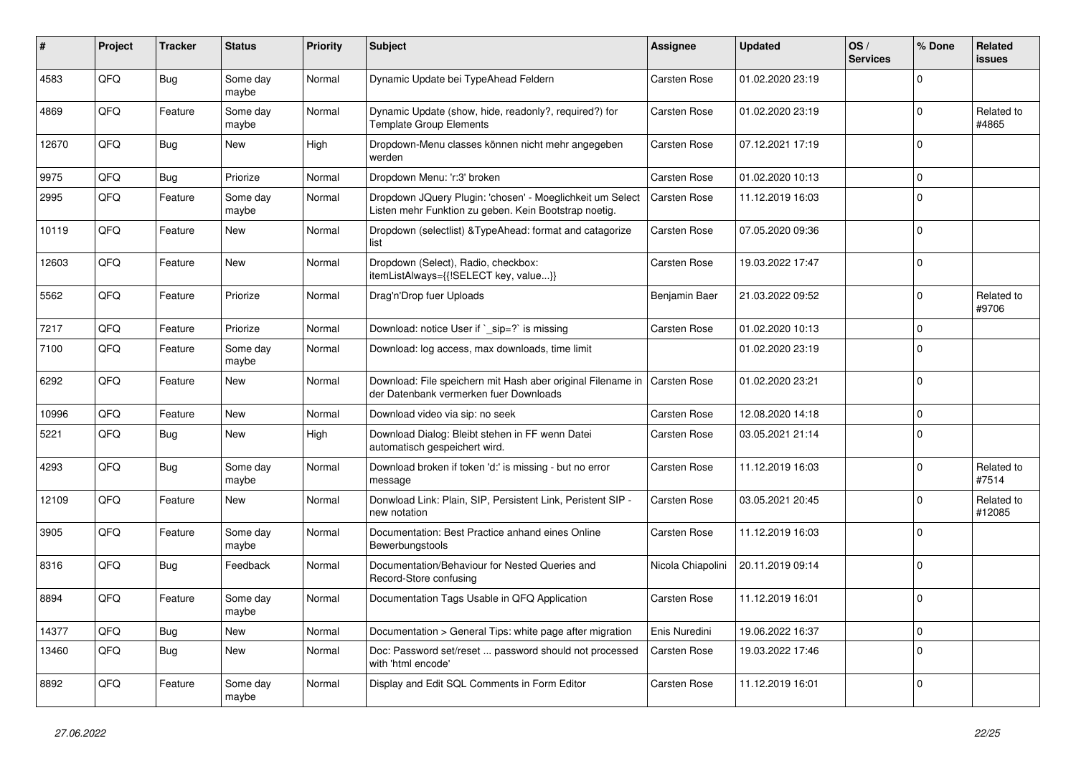| #     | Project | <b>Tracker</b> | <b>Status</b>     | <b>Priority</b> | <b>Subject</b>                                                                                                     | <b>Assignee</b>     | <b>Updated</b>   | OS/<br><b>Services</b> | % Done      | Related<br>issues    |
|-------|---------|----------------|-------------------|-----------------|--------------------------------------------------------------------------------------------------------------------|---------------------|------------------|------------------------|-------------|----------------------|
| 4583  | QFQ     | <b>Bug</b>     | Some day<br>maybe | Normal          | Dynamic Update bei TypeAhead Feldern                                                                               | <b>Carsten Rose</b> | 01.02.2020 23:19 |                        | $\Omega$    |                      |
| 4869  | QFQ     | Feature        | Some day<br>maybe | Normal          | Dynamic Update (show, hide, readonly?, required?) for<br><b>Template Group Elements</b>                            | Carsten Rose        | 01.02.2020 23:19 |                        | $\mathbf 0$ | Related to<br>#4865  |
| 12670 | QFQ     | <b>Bug</b>     | New               | High            | Dropdown-Menu classes können nicht mehr angegeben<br>werden                                                        | Carsten Rose        | 07.12.2021 17:19 |                        | $\Omega$    |                      |
| 9975  | QFQ     | <b>Bug</b>     | Priorize          | Normal          | Dropdown Menu: 'r:3' broken                                                                                        | <b>Carsten Rose</b> | 01.02.2020 10:13 |                        | $\Omega$    |                      |
| 2995  | QFQ     | Feature        | Some day<br>maybe | Normal          | Dropdown JQuery Plugin: 'chosen' - Moeglichkeit um Select<br>Listen mehr Funktion zu geben. Kein Bootstrap noetig. | Carsten Rose        | 11.12.2019 16:03 |                        | $\Omega$    |                      |
| 10119 | QFQ     | Feature        | New               | Normal          | Dropdown (selectlist) & Type Ahead: format and catagorize<br>list                                                  | Carsten Rose        | 07.05.2020 09:36 |                        | $\Omega$    |                      |
| 12603 | QFQ     | Feature        | New               | Normal          | Dropdown (Select), Radio, checkbox:<br>itemListAlways={{!SELECT key, value}}                                       | Carsten Rose        | 19.03.2022 17:47 |                        | $\Omega$    |                      |
| 5562  | QFQ     | Feature        | Priorize          | Normal          | Drag'n'Drop fuer Uploads                                                                                           | Benjamin Baer       | 21.03.2022 09:52 |                        | $\Omega$    | Related to<br>#9706  |
| 7217  | QFQ     | Feature        | Priorize          | Normal          | Download: notice User if `_sip=?` is missing                                                                       | Carsten Rose        | 01.02.2020 10:13 |                        | $\Omega$    |                      |
| 7100  | QFQ     | Feature        | Some day<br>maybe | Normal          | Download: log access, max downloads, time limit                                                                    |                     | 01.02.2020 23:19 |                        | $\Omega$    |                      |
| 6292  | QFQ     | Feature        | New               | Normal          | Download: File speichern mit Hash aber original Filename in<br>der Datenbank vermerken fuer Downloads              | <b>Carsten Rose</b> | 01.02.2020 23:21 |                        | $\Omega$    |                      |
| 10996 | QFQ     | Feature        | <b>New</b>        | Normal          | Download video via sip: no seek                                                                                    | Carsten Rose        | 12.08.2020 14:18 |                        | $\mathbf 0$ |                      |
| 5221  | QFQ     | Bug            | <b>New</b>        | High            | Download Dialog: Bleibt stehen in FF wenn Datei<br>automatisch gespeichert wird.                                   | Carsten Rose        | 03.05.2021 21:14 |                        | $\Omega$    |                      |
| 4293  | QFQ     | <b>Bug</b>     | Some day<br>maybe | Normal          | Download broken if token 'd:' is missing - but no error<br>message                                                 | Carsten Rose        | 11.12.2019 16:03 |                        | $\Omega$    | Related to<br>#7514  |
| 12109 | QFQ     | Feature        | New               | Normal          | Donwload Link: Plain, SIP, Persistent Link, Peristent SIP -<br>new notation                                        | Carsten Rose        | 03.05.2021 20:45 |                        | $\Omega$    | Related to<br>#12085 |
| 3905  | QFQ     | Feature        | Some day<br>maybe | Normal          | Documentation: Best Practice anhand eines Online<br>Bewerbungstools                                                | Carsten Rose        | 11.12.2019 16:03 |                        | $\Omega$    |                      |
| 8316  | QFQ     | Bug            | Feedback          | Normal          | Documentation/Behaviour for Nested Queries and<br>Record-Store confusing                                           | Nicola Chiapolini   | 20.11.2019 09:14 |                        | $\Omega$    |                      |
| 8894  | QFQ     | Feature        | Some day<br>maybe | Normal          | Documentation Tags Usable in QFQ Application                                                                       | Carsten Rose        | 11.12.2019 16:01 |                        | $\Omega$    |                      |
| 14377 | QFQ     | <b>Bug</b>     | New               | Normal          | Documentation > General Tips: white page after migration                                                           | Enis Nuredini       | 19.06.2022 16:37 |                        | $\mathbf 0$ |                      |
| 13460 | QFQ     | Bug            | <b>New</b>        | Normal          | Doc: Password set/reset  password should not processed<br>with 'html encode'                                       | Carsten Rose        | 19.03.2022 17:46 |                        | $\Omega$    |                      |
| 8892  | QFQ     | Feature        | Some day<br>maybe | Normal          | Display and Edit SQL Comments in Form Editor                                                                       | Carsten Rose        | 11.12.2019 16:01 |                        | $\Omega$    |                      |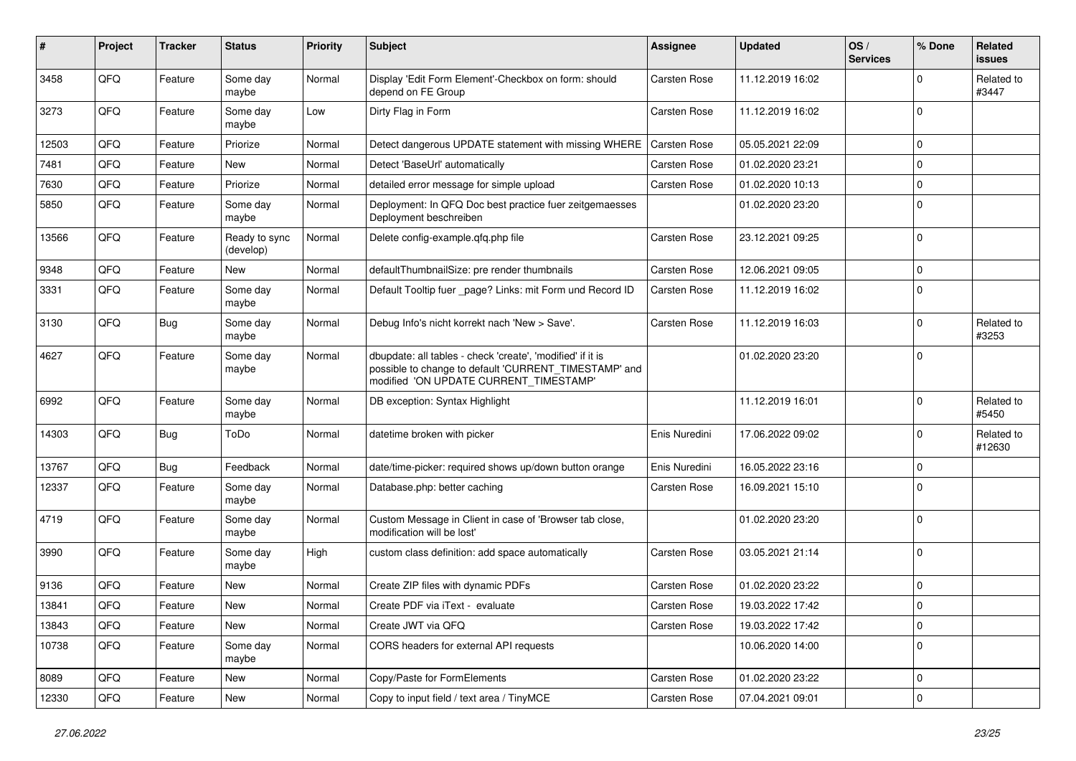| #     | Project | <b>Tracker</b> | <b>Status</b>              | <b>Priority</b> | Subject                                                                                                                                                       | <b>Assignee</b>     | <b>Updated</b>   | OS/<br><b>Services</b> | % Done      | Related<br>issues    |
|-------|---------|----------------|----------------------------|-----------------|---------------------------------------------------------------------------------------------------------------------------------------------------------------|---------------------|------------------|------------------------|-------------|----------------------|
| 3458  | QFQ     | Feature        | Some day<br>maybe          | Normal          | Display 'Edit Form Element'-Checkbox on form: should<br>depend on FE Group                                                                                    | Carsten Rose        | 11.12.2019 16:02 |                        | $\Omega$    | Related to<br>#3447  |
| 3273  | QFQ     | Feature        | Some day<br>maybe          | Low             | Dirty Flag in Form                                                                                                                                            | Carsten Rose        | 11.12.2019 16:02 |                        | $\Omega$    |                      |
| 12503 | QFQ     | Feature        | Priorize                   | Normal          | Detect dangerous UPDATE statement with missing WHERE                                                                                                          | Carsten Rose        | 05.05.2021 22:09 |                        | 0           |                      |
| 7481  | QFQ     | Feature        | <b>New</b>                 | Normal          | Detect 'BaseUrl' automatically                                                                                                                                | Carsten Rose        | 01.02.2020 23:21 |                        | $\Omega$    |                      |
| 7630  | QFQ     | Feature        | Priorize                   | Normal          | detailed error message for simple upload                                                                                                                      | Carsten Rose        | 01.02.2020 10:13 |                        | $\mathbf 0$ |                      |
| 5850  | QFQ     | Feature        | Some day<br>maybe          | Normal          | Deployment: In QFQ Doc best practice fuer zeitgemaesses<br>Deployment beschreiben                                                                             |                     | 01.02.2020 23:20 |                        | $\Omega$    |                      |
| 13566 | QFQ     | Feature        | Ready to sync<br>(develop) | Normal          | Delete config-example.qfq.php file                                                                                                                            | Carsten Rose        | 23.12.2021 09:25 |                        | $\Omega$    |                      |
| 9348  | QFQ     | Feature        | <b>New</b>                 | Normal          | defaultThumbnailSize: pre render thumbnails                                                                                                                   | <b>Carsten Rose</b> | 12.06.2021 09:05 |                        | 0           |                      |
| 3331  | QFQ     | Feature        | Some day<br>maybe          | Normal          | Default Tooltip fuer page? Links: mit Form und Record ID                                                                                                      | Carsten Rose        | 11.12.2019 16:02 |                        | $\Omega$    |                      |
| 3130  | QFQ     | Bug            | Some day<br>maybe          | Normal          | Debug Info's nicht korrekt nach 'New > Save'.                                                                                                                 | Carsten Rose        | 11.12.2019 16:03 |                        | $\Omega$    | Related to<br>#3253  |
| 4627  | QFQ     | Feature        | Some day<br>maybe          | Normal          | dbupdate: all tables - check 'create', 'modified' if it is<br>possible to change to default 'CURRENT_TIMESTAMP' and<br>modified 'ON UPDATE CURRENT_TIMESTAMP' |                     | 01.02.2020 23:20 |                        | $\Omega$    |                      |
| 6992  | QFQ     | Feature        | Some day<br>maybe          | Normal          | DB exception: Syntax Highlight                                                                                                                                |                     | 11.12.2019 16:01 |                        | $\Omega$    | Related to<br>#5450  |
| 14303 | QFQ     | <b>Bug</b>     | ToDo                       | Normal          | datetime broken with picker                                                                                                                                   | Enis Nuredini       | 17.06.2022 09:02 |                        | 0           | Related to<br>#12630 |
| 13767 | QFQ     | Bug            | Feedback                   | Normal          | date/time-picker: required shows up/down button orange                                                                                                        | Enis Nuredini       | 16.05.2022 23:16 |                        | $\Omega$    |                      |
| 12337 | QFQ     | Feature        | Some day<br>maybe          | Normal          | Database.php: better caching                                                                                                                                  | Carsten Rose        | 16.09.2021 15:10 |                        | $\Omega$    |                      |
| 4719  | QFQ     | Feature        | Some day<br>maybe          | Normal          | Custom Message in Client in case of 'Browser tab close,<br>modification will be lost'                                                                         |                     | 01.02.2020 23:20 |                        | $\Omega$    |                      |
| 3990  | QFQ     | Feature        | Some day<br>maybe          | High            | custom class definition: add space automatically                                                                                                              | Carsten Rose        | 03.05.2021 21:14 |                        | $\mathbf 0$ |                      |
| 9136  | QFQ     | Feature        | <b>New</b>                 | Normal          | Create ZIP files with dynamic PDFs                                                                                                                            | Carsten Rose        | 01.02.2020 23:22 |                        | $\mathbf 0$ |                      |
| 13841 | QFQ     | Feature        | New                        | Normal          | Create PDF via iText - evaluate                                                                                                                               | <b>Carsten Rose</b> | 19.03.2022 17:42 |                        | l O         |                      |
| 13843 | QFQ     | Feature        | New                        | Normal          | Create JWT via QFQ                                                                                                                                            | Carsten Rose        | 19.03.2022 17:42 |                        | $\mathbf 0$ |                      |
| 10738 | QFQ     | Feature        | Some day<br>maybe          | Normal          | CORS headers for external API requests                                                                                                                        |                     | 10.06.2020 14:00 |                        | $\Omega$    |                      |
| 8089  | QFQ     | Feature        | New                        | Normal          | Copy/Paste for FormElements                                                                                                                                   | Carsten Rose        | 01.02.2020 23:22 |                        | 0           |                      |
| 12330 | QFQ     | Feature        | New                        | Normal          | Copy to input field / text area / TinyMCE                                                                                                                     | Carsten Rose        | 07.04.2021 09:01 |                        | $\mathbf 0$ |                      |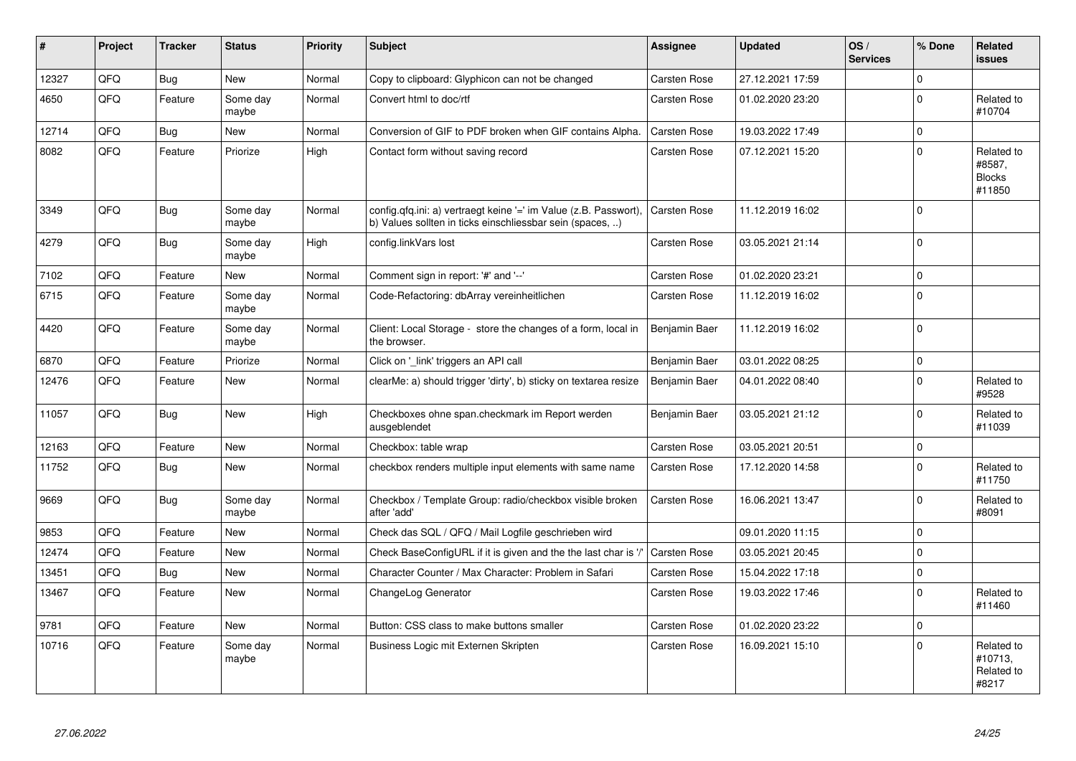| $\#$  | Project | <b>Tracker</b> | <b>Status</b>     | <b>Priority</b> | <b>Subject</b>                                                                                                                | <b>Assignee</b>     | <b>Updated</b>   | OS/<br><b>Services</b> | % Done      | <b>Related</b><br><b>issues</b>                 |
|-------|---------|----------------|-------------------|-----------------|-------------------------------------------------------------------------------------------------------------------------------|---------------------|------------------|------------------------|-------------|-------------------------------------------------|
| 12327 | QFQ     | <b>Bug</b>     | <b>New</b>        | Normal          | Copy to clipboard: Glyphicon can not be changed                                                                               | <b>Carsten Rose</b> | 27.12.2021 17:59 |                        | $\Omega$    |                                                 |
| 4650  | QFQ     | Feature        | Some day<br>maybe | Normal          | Convert html to doc/rtf                                                                                                       | Carsten Rose        | 01.02.2020 23:20 |                        | $\mathbf 0$ | Related to<br>#10704                            |
| 12714 | QFQ     | <b>Bug</b>     | <b>New</b>        | Normal          | Conversion of GIF to PDF broken when GIF contains Alpha.                                                                      | Carsten Rose        | 19.03.2022 17:49 |                        | $\Omega$    |                                                 |
| 8082  | QFQ     | Feature        | Priorize          | High            | Contact form without saving record                                                                                            | Carsten Rose        | 07.12.2021 15:20 |                        | $\Omega$    | Related to<br>#8587.<br><b>Blocks</b><br>#11850 |
| 3349  | QFQ     | Bug            | Some day<br>maybe | Normal          | config.qfq.ini: a) vertraegt keine '=' im Value (z.B. Passwort),<br>b) Values sollten in ticks einschliessbar sein (spaces, ) | <b>Carsten Rose</b> | 11.12.2019 16:02 |                        | $\Omega$    |                                                 |
| 4279  | QFQ     | <b>Bug</b>     | Some day<br>maybe | High            | config.linkVars lost                                                                                                          | Carsten Rose        | 03.05.2021 21:14 |                        | $\Omega$    |                                                 |
| 7102  | QFQ     | Feature        | New               | Normal          | Comment sign in report: '#' and '--'                                                                                          | Carsten Rose        | 01.02.2020 23:21 |                        | $\mathbf 0$ |                                                 |
| 6715  | QFQ     | Feature        | Some day<br>maybe | Normal          | Code-Refactoring: dbArray vereinheitlichen                                                                                    | Carsten Rose        | 11.12.2019 16:02 |                        | $\Omega$    |                                                 |
| 4420  | QFQ     | Feature        | Some day<br>maybe | Normal          | Client: Local Storage - store the changes of a form, local in<br>the browser.                                                 | Benjamin Baer       | 11.12.2019 16:02 |                        | $\Omega$    |                                                 |
| 6870  | QFQ     | Feature        | Priorize          | Normal          | Click on 'link' triggers an API call                                                                                          | Benjamin Baer       | 03.01.2022 08:25 |                        | $\mathbf 0$ |                                                 |
| 12476 | QFQ     | Feature        | <b>New</b>        | Normal          | clearMe: a) should trigger 'dirty', b) sticky on textarea resize                                                              | Benjamin Baer       | 04.01.2022 08:40 |                        | $\Omega$    | Related to<br>#9528                             |
| 11057 | QFQ     | <b>Bug</b>     | <b>New</b>        | High            | Checkboxes ohne span.checkmark im Report werden<br>ausgeblendet                                                               | Benjamin Baer       | 03.05.2021 21:12 |                        | $\Omega$    | Related to<br>#11039                            |
| 12163 | QFQ     | Feature        | <b>New</b>        | Normal          | Checkbox: table wrap                                                                                                          | <b>Carsten Rose</b> | 03.05.2021 20:51 |                        | $\mathbf 0$ |                                                 |
| 11752 | QFQ     | Bug            | New               | Normal          | checkbox renders multiple input elements with same name                                                                       | Carsten Rose        | 17.12.2020 14:58 |                        | $\Omega$    | Related to<br>#11750                            |
| 9669  | QFQ     | <b>Bug</b>     | Some day<br>maybe | Normal          | Checkbox / Template Group: radio/checkbox visible broken<br>after 'add'                                                       | Carsten Rose        | 16.06.2021 13:47 |                        | $\mathbf 0$ | Related to<br>#8091                             |
| 9853  | QFQ     | Feature        | New               | Normal          | Check das SQL / QFQ / Mail Logfile geschrieben wird                                                                           |                     | 09.01.2020 11:15 |                        | $\mathbf 0$ |                                                 |
| 12474 | QFQ     | Feature        | <b>New</b>        | Normal          | Check BaseConfigURL if it is given and the the last char is '/'                                                               | <b>Carsten Rose</b> | 03.05.2021 20:45 |                        | $\Omega$    |                                                 |
| 13451 | QFQ     | Bug            | New               | Normal          | Character Counter / Max Character: Problem in Safari                                                                          | Carsten Rose        | 15.04.2022 17:18 |                        | $\mathbf 0$ |                                                 |
| 13467 | QFQ     | Feature        | <b>New</b>        | Normal          | ChangeLog Generator                                                                                                           | Carsten Rose        | 19.03.2022 17:46 |                        | $\mathbf 0$ | Related to<br>#11460                            |
| 9781  | QFQ     | Feature        | <b>New</b>        | Normal          | Button: CSS class to make buttons smaller                                                                                     | Carsten Rose        | 01.02.2020 23:22 |                        | $\mathbf 0$ |                                                 |
| 10716 | QFQ     | Feature        | Some day<br>maybe | Normal          | Business Logic mit Externen Skripten                                                                                          | Carsten Rose        | 16.09.2021 15:10 |                        | $\Omega$    | Related to<br>#10713,<br>Related to<br>#8217    |